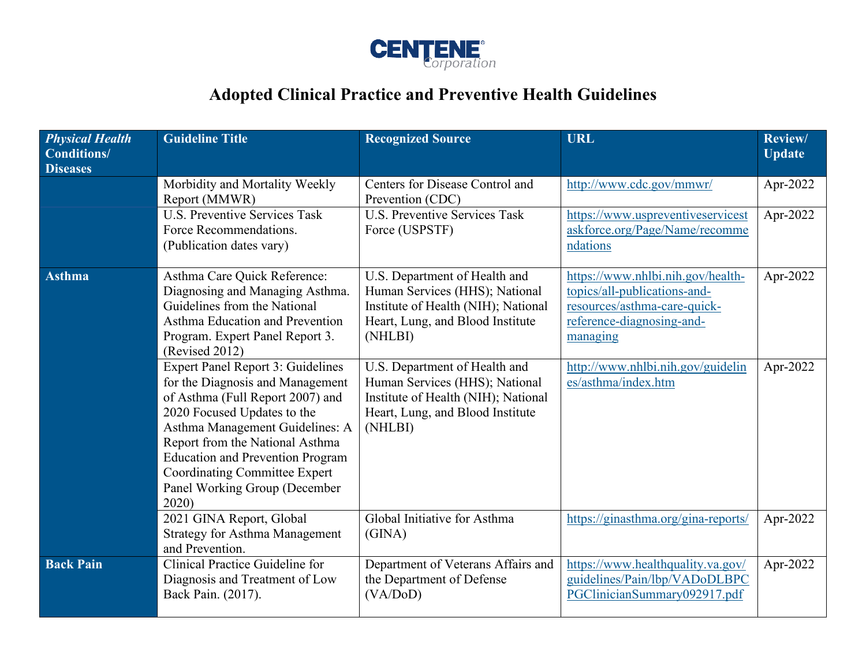

## **Adopted Clinical Practice and Preventive Health Guidelines**

| <b>Physical Health</b><br><b>Conditions/</b><br><b>Diseases</b> | <b>Guideline Title</b>                                                                                                                                                                                                                                                                                                                            | <b>Recognized Source</b>                                                                                                                              | <b>URL</b>                                                                                                                                 | Review/<br><b>Update</b> |
|-----------------------------------------------------------------|---------------------------------------------------------------------------------------------------------------------------------------------------------------------------------------------------------------------------------------------------------------------------------------------------------------------------------------------------|-------------------------------------------------------------------------------------------------------------------------------------------------------|--------------------------------------------------------------------------------------------------------------------------------------------|--------------------------|
|                                                                 | Morbidity and Mortality Weekly<br>Report (MMWR)                                                                                                                                                                                                                                                                                                   | Centers for Disease Control and<br>Prevention (CDC)                                                                                                   | http://www.cdc.gov/mmwr/                                                                                                                   | Apr-2022                 |
|                                                                 | U.S. Preventive Services Task<br>Force Recommendations.<br>(Publication dates vary)                                                                                                                                                                                                                                                               | <b>U.S. Preventive Services Task</b><br>Force (USPSTF)                                                                                                | https://www.uspreventiveservicest<br>askforce.org/Page/Name/recomme<br>ndations                                                            | Apr-2022                 |
| <b>Asthma</b>                                                   | Asthma Care Quick Reference:<br>Diagnosing and Managing Asthma.<br>Guidelines from the National<br>Asthma Education and Prevention<br>Program. Expert Panel Report 3.<br>(Revised 2012)                                                                                                                                                           | U.S. Department of Health and<br>Human Services (HHS); National<br>Institute of Health (NIH); National<br>Heart, Lung, and Blood Institute<br>(NHLBI) | https://www.nhlbi.nih.gov/health-<br>topics/all-publications-and-<br>resources/asthma-care-quick-<br>reference-diagnosing-and-<br>managing | Apr-2022                 |
|                                                                 | <b>Expert Panel Report 3: Guidelines</b><br>for the Diagnosis and Management<br>of Asthma (Full Report 2007) and<br>2020 Focused Updates to the<br>Asthma Management Guidelines: A<br>Report from the National Asthma<br><b>Education and Prevention Program</b><br><b>Coordinating Committee Expert</b><br>Panel Working Group (December<br>2020 | U.S. Department of Health and<br>Human Services (HHS); National<br>Institute of Health (NIH); National<br>Heart, Lung, and Blood Institute<br>(NHLBI) | http://www.nhlbi.nih.gov/guidelin<br>es/asthma/index.htm                                                                                   | Apr-2022                 |
|                                                                 | 2021 GINA Report, Global<br><b>Strategy for Asthma Management</b><br>and Prevention.                                                                                                                                                                                                                                                              | Global Initiative for Asthma<br>(GINA)                                                                                                                | https://ginasthma.org/gina-reports/                                                                                                        | Apr-2022                 |
| <b>Back Pain</b>                                                | Clinical Practice Guideline for<br>Diagnosis and Treatment of Low<br>Back Pain. (2017).                                                                                                                                                                                                                                                           | Department of Veterans Affairs and<br>the Department of Defense<br>(VA/DoD)                                                                           | https://www.healthquality.va.gov/<br>guidelines/Pain/lbp/VADoDLBPC<br>PGClinicianSummary092917.pdf                                         | Apr-2022                 |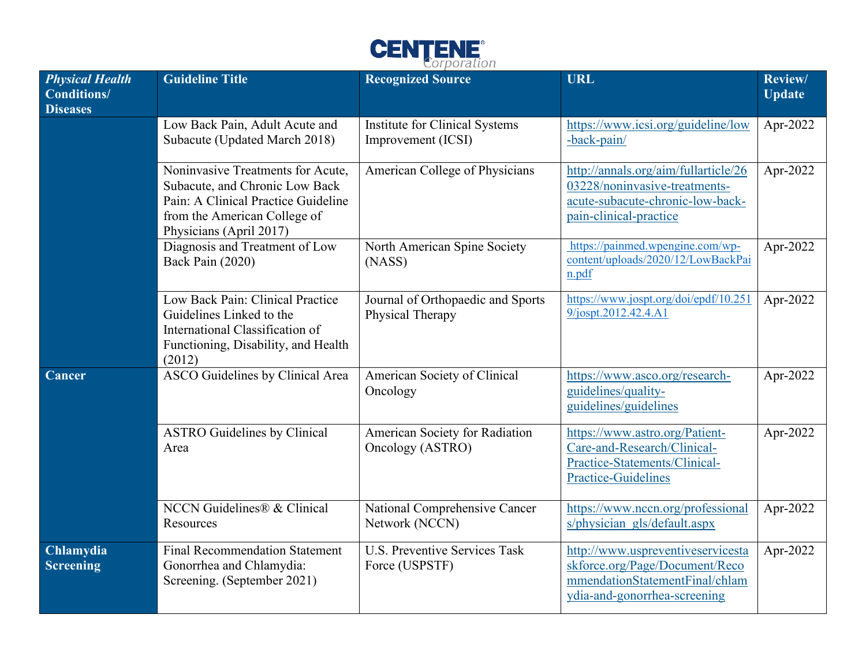

| <b>Physical Health</b><br><b>Conditions/</b><br><b>Diseases</b> | <b>Guideline Title</b>                                                                                                                                                | <b>Recognized Source</b>                               | <b>URL</b>                                                                                                                            | Review/<br><b>Update</b> |
|-----------------------------------------------------------------|-----------------------------------------------------------------------------------------------------------------------------------------------------------------------|--------------------------------------------------------|---------------------------------------------------------------------------------------------------------------------------------------|--------------------------|
|                                                                 | Low Back Pain, Adult Acute and<br>Subacute (Updated March 2018)                                                                                                       | Institute for Clinical Systems<br>Improvement (ICSI)   | https://www.icsi.org/guideline/low<br>-back-pain/                                                                                     | Apr-2022                 |
|                                                                 | Noninvasive Treatments for Acute,<br>Subacute, and Chronic Low Back<br>Pain: A Clinical Practice Guideline<br>from the American College of<br>Physicians (April 2017) | American College of Physicians                         | http://annals.org/aim/fullarticle/26<br>03228/noninvasive-treatments-<br>acute-subacute-chronic-low-back-<br>pain-clinical-practice   | Apr-2022                 |
|                                                                 | Diagnosis and Treatment of Low<br>Back Pain (2020)                                                                                                                    | North American Spine Society<br>(NASS)                 | https://painmed.wpengine.com/wp-<br>content/uploads/2020/12/LowBackPai<br>n.pdf                                                       | Apr-2022                 |
|                                                                 | Low Back Pain: Clinical Practice<br>Guidelines Linked to the<br>International Classification of<br>Functioning, Disability, and Health<br>(2012)                      | Journal of Orthopaedic and Sports<br>Physical Therapy  | https://www.jospt.org/doi/epdf/10.251<br>9/jospt.2012.42.4.A1                                                                         | Apr-2022                 |
| Cancer                                                          | ASCO Guidelines by Clinical Area                                                                                                                                      | American Society of Clinical<br>Oncology               | https://www.asco.org/research-<br>guidelines/quality-<br>guidelines/guidelines                                                        | Apr-2022                 |
|                                                                 | <b>ASTRO Guidelines by Clinical</b><br>Area                                                                                                                           | American Society for Radiation<br>Oncology (ASTRO)     | https://www.astro.org/Patient-<br>Care-and-Research/Clinical-<br>Practice-Statements/Clinical-<br><b>Practice-Guidelines</b>          | Apr-2022                 |
|                                                                 | NCCN Guidelines® & Clinical<br>Resources                                                                                                                              | National Comprehensive Cancer<br>Network (NCCN)        | https://www.nccn.org/professional<br>s/physician gls/default.aspx                                                                     | Apr-2022                 |
| Chlamydia<br><b>Screening</b>                                   | <b>Final Recommendation Statement</b><br>Gonorrhea and Chlamydia:<br>Screening. (September 2021)                                                                      | <b>U.S. Preventive Services Task</b><br>Force (USPSTF) | http://www.uspreventiveservicesta<br>skforce.org/Page/Document/Reco<br>mmendationStatementFinal/chlam<br>ydia-and-gonorrhea-screening | Apr-2022                 |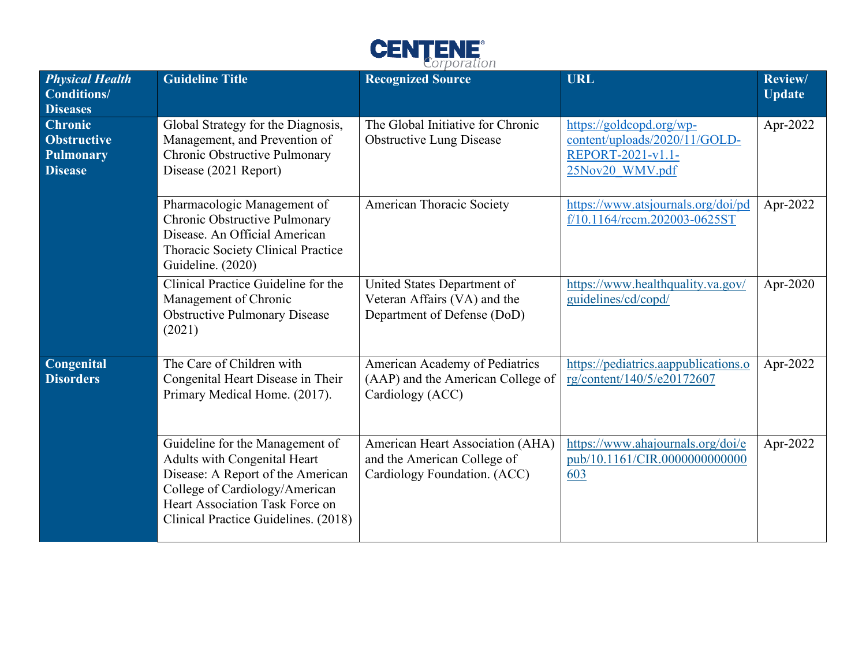

| <b>Physical Health</b><br><b>Conditions/</b><br><b>Diseases</b>            | <b>Guideline Title</b>                                                                                                                                                                                            | <b>Recognized Source</b>                                                                        | <b>URL</b>                                                                                        | <b>Review/</b><br><b>Update</b> |
|----------------------------------------------------------------------------|-------------------------------------------------------------------------------------------------------------------------------------------------------------------------------------------------------------------|-------------------------------------------------------------------------------------------------|---------------------------------------------------------------------------------------------------|---------------------------------|
| <b>Chronic</b><br><b>Obstructive</b><br><b>Pulmonary</b><br><b>Disease</b> | Global Strategy for the Diagnosis,<br>Management, and Prevention of<br>Chronic Obstructive Pulmonary<br>Disease (2021 Report)                                                                                     | The Global Initiative for Chronic<br><b>Obstructive Lung Disease</b>                            | https://goldcopd.org/wp-<br>content/uploads/2020/11/GOLD-<br>REPORT-2021-v1.1-<br>25Nov20 WMV.pdf | Apr-2022                        |
|                                                                            | Pharmacologic Management of<br>Chronic Obstructive Pulmonary<br>Disease. An Official American<br>Thoracic Society Clinical Practice<br>Guideline. (2020)                                                          | American Thoracic Society                                                                       | https://www.atsjournals.org/doi/pd<br>f/10.1164/rccm.202003-0625ST                                | Apr-2022                        |
|                                                                            | Clinical Practice Guideline for the<br>Management of Chronic<br><b>Obstructive Pulmonary Disease</b><br>(2021)                                                                                                    | United States Department of<br>Veteran Affairs (VA) and the<br>Department of Defense (DoD)      | https://www.healthquality.va.gov/<br>guidelines/cd/copd/                                          | Apr-2020                        |
| Congenital<br><b>Disorders</b>                                             | The Care of Children with<br>Congenital Heart Disease in Their<br>Primary Medical Home. (2017).                                                                                                                   | American Academy of Pediatrics<br>(AAP) and the American College of<br>Cardiology (ACC)         | https://pediatrics.aappublications.o<br>rg/content/140/5/e20172607                                | Apr-2022                        |
|                                                                            | Guideline for the Management of<br>Adults with Congenital Heart<br>Disease: A Report of the American<br>College of Cardiology/American<br>Heart Association Task Force on<br>Clinical Practice Guidelines. (2018) | American Heart Association (AHA)<br>and the American College of<br>Cardiology Foundation. (ACC) | https://www.ahajournals.org/doi/e<br>pub/10.1161/CIR.0000000000000<br>603                         | Apr-2022                        |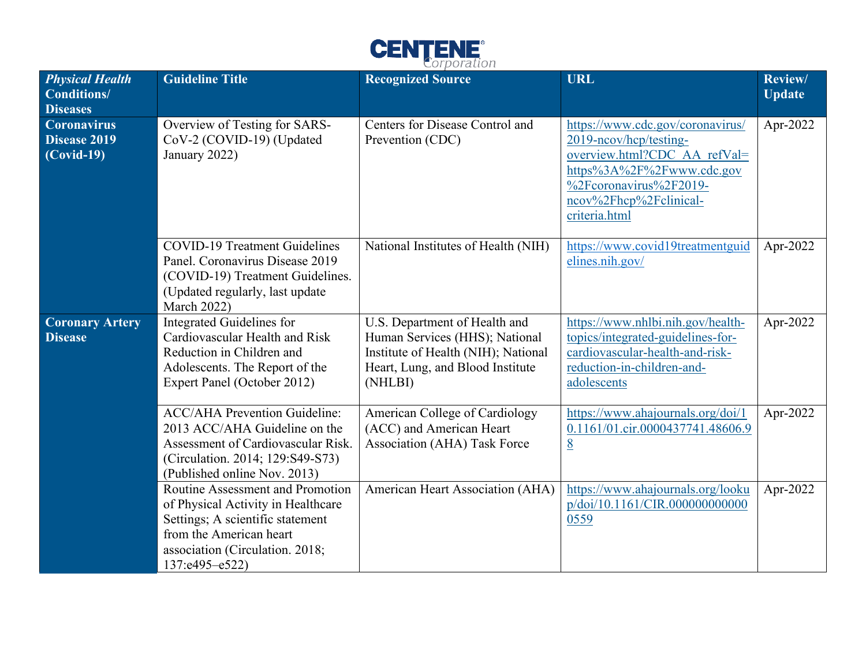

| <b>Physical Health</b><br>Conditions/<br><b>Diseases</b> | <b>Guideline Title</b>                                                                                                                                                                         | <b>Recognized Source</b>                                                                                                                              | <b>URL</b>                                                                                                                                                                                   | Review/<br><b>Update</b> |
|----------------------------------------------------------|------------------------------------------------------------------------------------------------------------------------------------------------------------------------------------------------|-------------------------------------------------------------------------------------------------------------------------------------------------------|----------------------------------------------------------------------------------------------------------------------------------------------------------------------------------------------|--------------------------|
| <b>Coronavirus</b><br>Disease 2019<br>$(Covid-19)$       | Overview of Testing for SARS-<br>CoV-2 (COVID-19) (Updated<br>January 2022)                                                                                                                    | Centers for Disease Control and<br>Prevention (CDC)                                                                                                   | https://www.cdc.gov/coronavirus/<br>2019-neov/hep/testing-<br>overview.html?CDC AA refVal=<br>https%3A%2F%2Fwww.cdc.gov<br>%2Fcoronavirus%2F2019-<br>ncov%2Fhcp%2Fclinical-<br>criteria.html | Apr-2022                 |
|                                                          | <b>COVID-19 Treatment Guidelines</b><br>Panel. Coronavirus Disease 2019<br>(COVID-19) Treatment Guidelines.<br>(Updated regularly, last update<br><b>March 2022)</b>                           | National Institutes of Health (NIH)                                                                                                                   | https://www.covid19treatmentguid<br>elines.nih.gov/                                                                                                                                          | Apr-2022                 |
| <b>Coronary Artery</b><br><b>Disease</b>                 | Integrated Guidelines for<br>Cardiovascular Health and Risk<br>Reduction in Children and<br>Adolescents. The Report of the<br>Expert Panel (October 2012)                                      | U.S. Department of Health and<br>Human Services (HHS); National<br>Institute of Health (NIH); National<br>Heart, Lung, and Blood Institute<br>(NHLBI) | https://www.nhlbi.nih.gov/health-<br>topics/integrated-guidelines-for-<br>cardiovascular-health-and-risk-<br>reduction-in-children-and-<br>adolescents                                       | Apr-2022                 |
|                                                          | <b>ACC/AHA Prevention Guideline:</b><br>2013 ACC/AHA Guideline on the<br>Assessment of Cardiovascular Risk.<br>(Circulation. 2014; 129:S49-S73)<br>(Published online Nov. 2013)                | American College of Cardiology<br>(ACC) and American Heart<br>Association (AHA) Task Force                                                            | https://www.ahajournals.org/doi/1<br>0.1161/01.cir.0000437741.48606.9<br>8                                                                                                                   | Apr-2022                 |
|                                                          | Routine Assessment and Promotion<br>of Physical Activity in Healthcare<br>Settings; A scientific statement<br>from the American heart<br>association (Circulation. 2018;<br>$137: e495 - e522$ | American Heart Association (AHA)                                                                                                                      | https://www.ahajournals.org/looku<br>p/doi/10.1161/CIR.000000000000<br>0559                                                                                                                  | Apr-2022                 |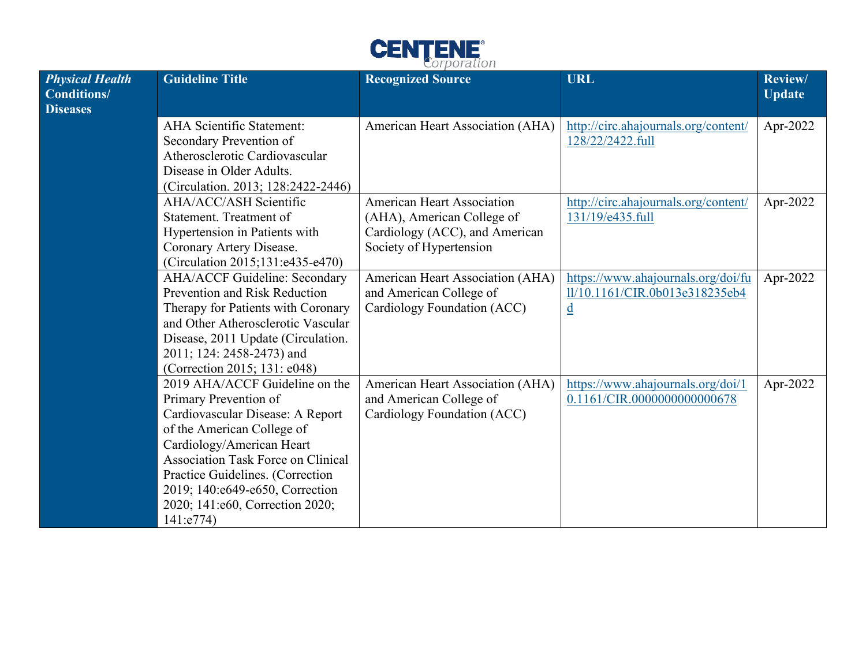

| <b>Physical Health</b><br><b>Conditions/</b><br><b>Diseases</b> | <b>Guideline Title</b>                                                                                                                                                                                                                                                                                                     | <b>Recognized Source</b>                                                                                                     | <b>URL</b>                                                                                       | <b>Review/</b><br><b>Update</b> |
|-----------------------------------------------------------------|----------------------------------------------------------------------------------------------------------------------------------------------------------------------------------------------------------------------------------------------------------------------------------------------------------------------------|------------------------------------------------------------------------------------------------------------------------------|--------------------------------------------------------------------------------------------------|---------------------------------|
|                                                                 | <b>AHA Scientific Statement:</b><br>Secondary Prevention of<br>Atherosclerotic Cardiovascular<br>Disease in Older Adults.<br>(Circulation. 2013; 128:2422-2446)                                                                                                                                                            | American Heart Association (AHA)                                                                                             | http://circ.ahajournals.org/content/<br>128/22/2422.full                                         | Apr-2022                        |
|                                                                 | AHA/ACC/ASH Scientific<br>Statement. Treatment of<br>Hypertension in Patients with<br>Coronary Artery Disease.<br>(Circulation 2015;131:e435-e470)                                                                                                                                                                         | <b>American Heart Association</b><br>(AHA), American College of<br>Cardiology (ACC), and American<br>Society of Hypertension | http://circ.ahajournals.org/content/<br>131/19/e435.full                                         | Apr-2022                        |
|                                                                 | <b>AHA/ACCF Guideline: Secondary</b><br>Prevention and Risk Reduction<br>Therapy for Patients with Coronary<br>and Other Atherosclerotic Vascular<br>Disease, 2011 Update (Circulation.<br>2011; 124: 2458-2473) and<br>(Correction 2015; 131: e048)                                                                       | American Heart Association (AHA)<br>and American College of<br>Cardiology Foundation (ACC)                                   | https://www.ahajournals.org/doi/fu<br>11/10.1161/CIR.0b013e318235eb4<br>$\underline{\mathbf{d}}$ | Apr-2022                        |
|                                                                 | 2019 AHA/ACCF Guideline on the<br>Primary Prevention of<br>Cardiovascular Disease: A Report<br>of the American College of<br>Cardiology/American Heart<br><b>Association Task Force on Clinical</b><br>Practice Guidelines. (Correction<br>2019; 140:e649-e650, Correction<br>2020; 141:e60, Correction 2020;<br>141: e774 | American Heart Association (AHA)<br>and American College of<br>Cardiology Foundation (ACC)                                   | https://www.ahajournals.org/doi/1<br>0.1161/CIR.0000000000000678                                 | Apr-2022                        |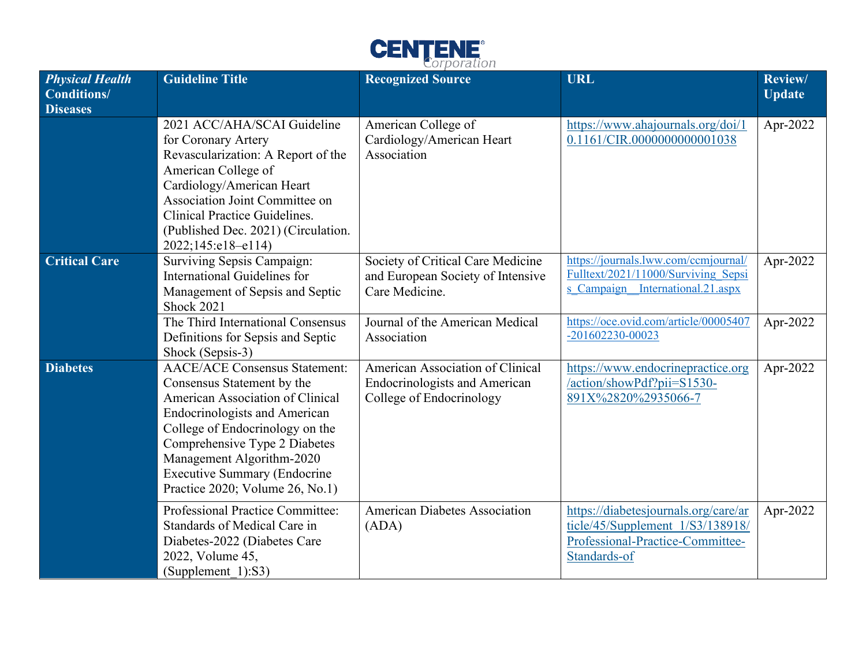

| <b>Physical Health</b><br><b>Conditions/</b><br><b>Diseases</b> | <b>Guideline Title</b>                                                                                                                                                                                                                                                                                                    | <b>Recognized Source</b>                                                                             | <b>URL</b>                                                                                                                   | <b>Review/</b><br><b>Update</b> |
|-----------------------------------------------------------------|---------------------------------------------------------------------------------------------------------------------------------------------------------------------------------------------------------------------------------------------------------------------------------------------------------------------------|------------------------------------------------------------------------------------------------------|------------------------------------------------------------------------------------------------------------------------------|---------------------------------|
|                                                                 | 2021 ACC/AHA/SCAI Guideline<br>for Coronary Artery<br>Revascularization: A Report of the<br>American College of<br>Cardiology/American Heart<br>Association Joint Committee on<br>Clinical Practice Guidelines.<br>(Published Dec. 2021) (Circulation.<br>2022;145:e18-e114)                                              | American College of<br>Cardiology/American Heart<br>Association                                      | https://www.ahajournals.org/doi/1<br>0.1161/CIR.0000000000001038                                                             | Apr-2022                        |
| <b>Critical Care</b>                                            | Surviving Sepsis Campaign:<br>International Guidelines for<br>Management of Sepsis and Septic<br><b>Shock 2021</b>                                                                                                                                                                                                        | Society of Critical Care Medicine<br>and European Society of Intensive<br>Care Medicine.             | https://journals.lww.com/ccmjournal/<br>Fulltext/2021/11000/Surviving Sepsi<br>s Campaign International.21.aspx              | Apr-2022                        |
|                                                                 | The Third International Consensus<br>Definitions for Sepsis and Septic<br>Shock (Sepsis-3)                                                                                                                                                                                                                                | Journal of the American Medical<br>Association                                                       | https://oce.ovid.com/article/00005407<br>-201602230-00023                                                                    | Apr-2022                        |
| <b>Diabetes</b>                                                 | <b>AACE/ACE Consensus Statement:</b><br>Consensus Statement by the<br>American Association of Clinical<br><b>Endocrinologists and American</b><br>College of Endocrinology on the<br>Comprehensive Type 2 Diabetes<br>Management Algorithm-2020<br><b>Executive Summary (Endocrine</b><br>Practice 2020; Volume 26, No.1) | American Association of Clinical<br><b>Endocrinologists and American</b><br>College of Endocrinology | https://www.endocrinepractice.org<br>/action/showPdf?pii=S1530-<br>891X%2820%2935066-7                                       | Apr-2022                        |
|                                                                 | Professional Practice Committee:<br>Standards of Medical Care in<br>Diabetes-2022 (Diabetes Care<br>2022, Volume 45,<br>(Supplement 1):S3)                                                                                                                                                                                | <b>American Diabetes Association</b><br>(ADA)                                                        | https://diabetesjournals.org/care/ar<br>ticle/45/Supplement 1/S3/138918/<br>Professional-Practice-Committee-<br>Standards-of | Apr-2022                        |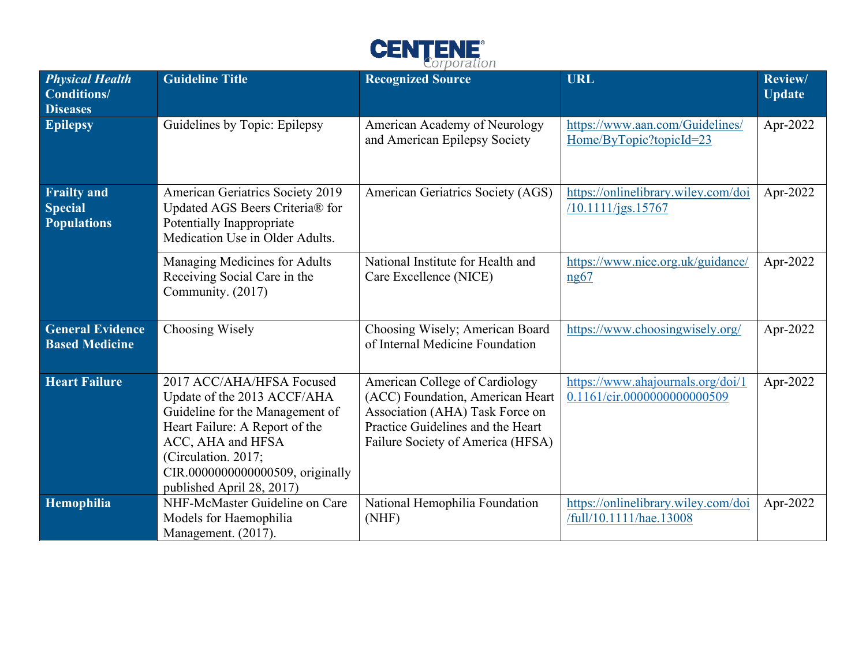

| <b>Physical Health</b><br><b>Conditions/</b><br><b>Diseases</b> | <b>Guideline Title</b>                                                                                                                                                                                                                     | <b>Recognized Source</b>                                                                                                                                                        | <b>URL</b>                                                       | <b>Review/</b><br><b>Update</b> |
|-----------------------------------------------------------------|--------------------------------------------------------------------------------------------------------------------------------------------------------------------------------------------------------------------------------------------|---------------------------------------------------------------------------------------------------------------------------------------------------------------------------------|------------------------------------------------------------------|---------------------------------|
| <b>Epilepsy</b>                                                 | Guidelines by Topic: Epilepsy                                                                                                                                                                                                              | American Academy of Neurology<br>and American Epilepsy Society                                                                                                                  | https://www.aan.com/Guidelines/<br>Home/ByTopic?topicId=23       | Apr-2022                        |
| <b>Frailty and</b><br><b>Special</b><br><b>Populations</b>      | <b>American Geriatrics Society 2019</b><br>Updated AGS Beers Criteria® for<br>Potentially Inappropriate<br>Medication Use in Older Adults.                                                                                                 | American Geriatrics Society (AGS)                                                                                                                                               | https://onlinelibrary.wiley.com/doi<br>/10.1111/jgs.15767        | Apr-2022                        |
|                                                                 | Managing Medicines for Adults<br>Receiving Social Care in the<br>Community. (2017)                                                                                                                                                         | National Institute for Health and<br>Care Excellence (NICE)                                                                                                                     | https://www.nice.org.uk/guidance/<br>ng67                        | Apr-2022                        |
| <b>General Evidence</b><br><b>Based Medicine</b>                | Choosing Wisely                                                                                                                                                                                                                            | Choosing Wisely; American Board<br>of Internal Medicine Foundation                                                                                                              | https://www.choosingwisely.org/                                  | Apr-2022                        |
| <b>Heart Failure</b>                                            | 2017 ACC/AHA/HFSA Focused<br>Update of the 2013 ACCF/AHA<br>Guideline for the Management of<br>Heart Failure: A Report of the<br>ACC, AHA and HFSA<br>(Circulation. 2017;<br>CIR.0000000000000509, originally<br>published April 28, 2017) | American College of Cardiology<br>(ACC) Foundation, American Heart<br>Association (AHA) Task Force on<br>Practice Guidelines and the Heart<br>Failure Society of America (HFSA) | https://www.ahajournals.org/doi/1<br>0.1161/cir.0000000000000509 | Apr-2022                        |
| Hemophilia                                                      | NHF-McMaster Guideline on Care<br>Models for Haemophilia<br>Management. (2017).                                                                                                                                                            | National Hemophilia Foundation<br>(NHF)                                                                                                                                         | https://onlinelibrary.wiley.com/doi<br>/full/10.1111/hae.13008   | Apr-2022                        |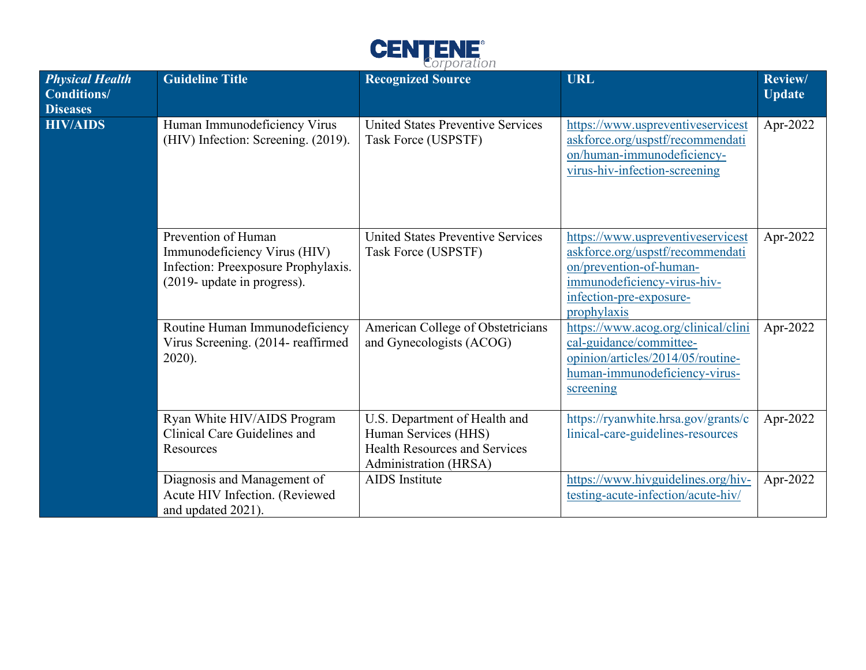

| <b>Physical Health</b><br><b>Conditions/</b><br><b>Diseases</b> | <b>Guideline Title</b>                                                                                                    | <b>Recognized Source</b>                                                                                               | <b>URL</b>                                                                                                                                                                | Review/<br><b>Update</b> |
|-----------------------------------------------------------------|---------------------------------------------------------------------------------------------------------------------------|------------------------------------------------------------------------------------------------------------------------|---------------------------------------------------------------------------------------------------------------------------------------------------------------------------|--------------------------|
| <b>HIV/AIDS</b>                                                 | Human Immunodeficiency Virus<br>(HIV) Infection: Screening. (2019).                                                       | <b>United States Preventive Services</b><br>Task Force (USPSTF)                                                        | https://www.uspreventiveservicest<br>askforce.org/uspstf/recommendati<br>on/human-immunodeficiency-<br>virus-hiv-infection-screening                                      | Apr-2022                 |
|                                                                 | Prevention of Human<br>Immunodeficiency Virus (HIV)<br>Infection: Preexposure Prophylaxis.<br>(2019- update in progress). | <b>United States Preventive Services</b><br>Task Force (USPSTF)                                                        | https://www.uspreventiveservicest<br>askforce.org/uspstf/recommendati<br>on/prevention-of-human-<br>immunodeficiency-virus-hiv-<br>infection-pre-exposure-<br>prophylaxis | Apr-2022                 |
|                                                                 | Routine Human Immunodeficiency<br>Virus Screening. (2014- reaffirmed<br>$2020$ ).                                         | American College of Obstetricians<br>and Gynecologists (ACOG)                                                          | https://www.acog.org/clinical/clini<br>cal-guidance/committee-<br>opinion/articles/2014/05/routine-<br>human-immunodeficiency-virus-<br>screening                         | Apr-2022                 |
|                                                                 | Ryan White HIV/AIDS Program<br>Clinical Care Guidelines and<br>Resources                                                  | U.S. Department of Health and<br>Human Services (HHS)<br><b>Health Resources and Services</b><br>Administration (HRSA) | https://ryanwhite.hrsa.gov/grants/c<br>linical-care-guidelines-resources                                                                                                  | Apr-2022                 |
|                                                                 | Diagnosis and Management of<br>Acute HIV Infection. (Reviewed<br>and updated 2021).                                       | <b>AIDS</b> Institute                                                                                                  | https://www.hivguidelines.org/hiv-<br>testing-acute-infection/acute-hiv/                                                                                                  | Apr-2022                 |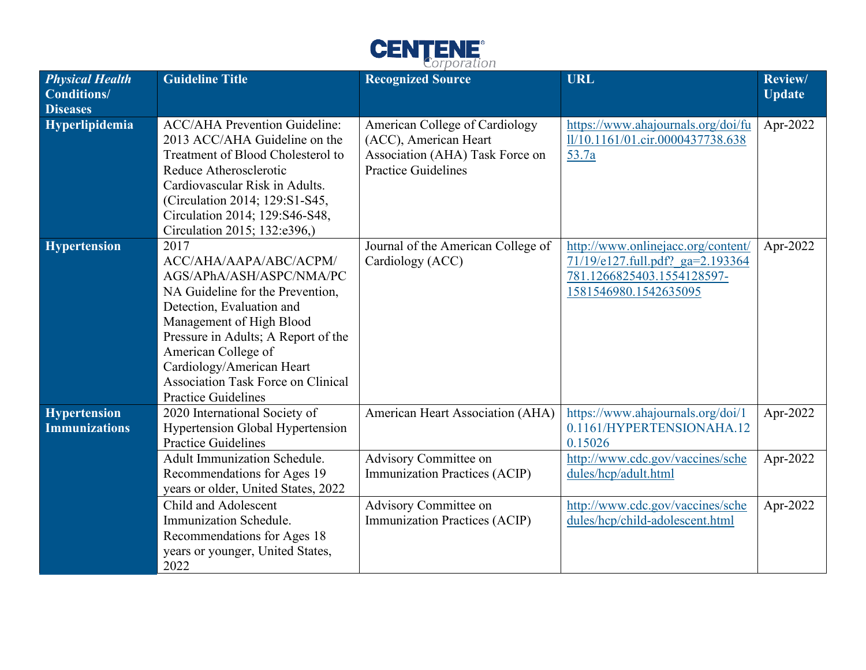

| <b>Physical Health</b><br><b>Conditions/</b><br><b>Diseases</b> | <b>Guideline Title</b>                                                                                                                                                                                                                                                                                                        | <b>Recognized Source</b>                                                                                                 | <b>URL</b>                                                                                                                    | Review/<br><b>Update</b> |
|-----------------------------------------------------------------|-------------------------------------------------------------------------------------------------------------------------------------------------------------------------------------------------------------------------------------------------------------------------------------------------------------------------------|--------------------------------------------------------------------------------------------------------------------------|-------------------------------------------------------------------------------------------------------------------------------|--------------------------|
| Hyperlipidemia                                                  | <b>ACC/AHA Prevention Guideline:</b><br>2013 ACC/AHA Guideline on the<br>Treatment of Blood Cholesterol to<br>Reduce Atherosclerotic<br>Cardiovascular Risk in Adults.<br>(Circulation 2014; 129:S1-S45,<br>Circulation 2014; 129:S46-S48,<br>Circulation 2015; 132:e396,)                                                    | American College of Cardiology<br>(ACC), American Heart<br>Association (AHA) Task Force on<br><b>Practice Guidelines</b> | https://www.ahajournals.org/doi/fu<br>1l/10.1161/01.cir.0000437738.638<br>53.7a                                               | Apr-2022                 |
| <b>Hypertension</b>                                             | 2017<br>ACC/AHA/AAPA/ABC/ACPM/<br>AGS/APhA/ASH/ASPC/NMA/PC<br>NA Guideline for the Prevention,<br>Detection, Evaluation and<br>Management of High Blood<br>Pressure in Adults; A Report of the<br>American College of<br>Cardiology/American Heart<br><b>Association Task Force on Clinical</b><br><b>Practice Guidelines</b> | Journal of the American College of<br>Cardiology (ACC)                                                                   | http://www.onlinejacc.org/content/<br>71/19/e127.full.pdf? ga=2.193364<br>781.1266825403.1554128597-<br>1581546980.1542635095 | Apr-2022                 |
| <b>Hypertension</b><br><b>Immunizations</b>                     | 2020 International Society of<br><b>Hypertension Global Hypertension</b><br><b>Practice Guidelines</b>                                                                                                                                                                                                                        | American Heart Association (AHA)                                                                                         | https://www.ahajournals.org/doi/1<br>0.1161/HYPERTENSIONAHA.12<br>0.15026                                                     | Apr-2022                 |
|                                                                 | Adult Immunization Schedule.<br>Recommendations for Ages 19<br>years or older, United States, 2022                                                                                                                                                                                                                            | <b>Advisory Committee on</b><br><b>Immunization Practices (ACIP)</b>                                                     | http://www.cdc.gov/vaccines/sche<br>dules/hcp/adult.html                                                                      | Apr-2022                 |
|                                                                 | Child and Adolescent<br>Immunization Schedule.<br>Recommendations for Ages 18<br>years or younger, United States,<br>2022                                                                                                                                                                                                     | Advisory Committee on<br><b>Immunization Practices (ACIP)</b>                                                            | http://www.cdc.gov/vaccines/sche<br>dules/hcp/child-adolescent.html                                                           | Apr-2022                 |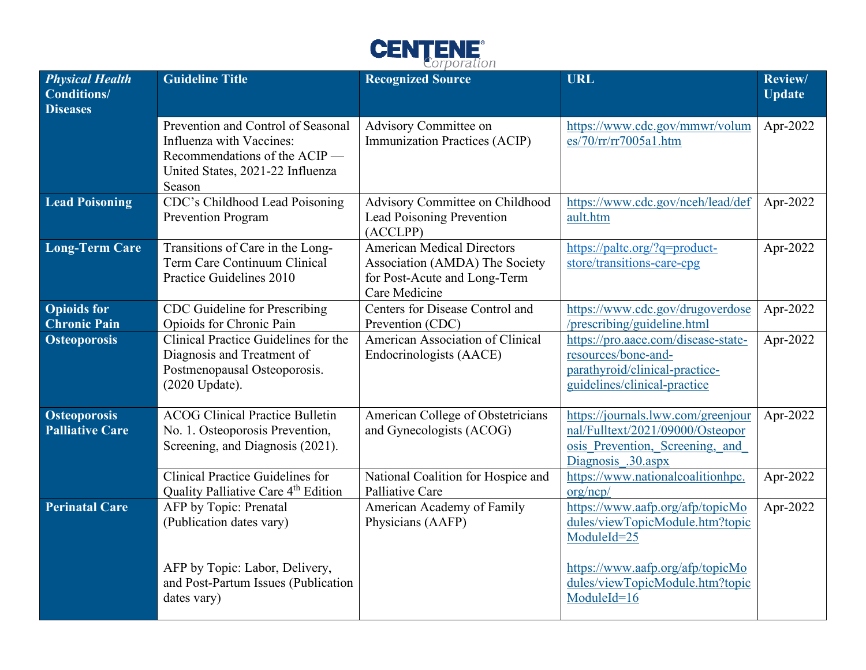

| <b>Physical Health</b><br><b>Conditions/</b><br><b>Diseases</b> | <b>Guideline Title</b>                                                                                                                        | <b>Recognized Source</b>                                                                                             | <b>URL</b>                                                                                                                      | Review/<br><b>Update</b> |
|-----------------------------------------------------------------|-----------------------------------------------------------------------------------------------------------------------------------------------|----------------------------------------------------------------------------------------------------------------------|---------------------------------------------------------------------------------------------------------------------------------|--------------------------|
|                                                                 | Prevention and Control of Seasonal<br>Influenza with Vaccines:<br>Recommendations of the ACIP —<br>United States, 2021-22 Influenza<br>Season | Advisory Committee on<br><b>Immunization Practices (ACIP)</b>                                                        | https://www.cdc.gov/mmwr/volum<br>es/70/rr/rr7005a1.htm                                                                         | Apr-2022                 |
| <b>Lead Poisoning</b>                                           | CDC's Childhood Lead Poisoning<br>Prevention Program                                                                                          | Advisory Committee on Childhood<br><b>Lead Poisoning Prevention</b><br>(ACCLPP)                                      | https://www.cdc.gov/nceh/lead/def<br>ault.htm                                                                                   | Apr-2022                 |
| <b>Long-Term Care</b>                                           | Transitions of Care in the Long-<br>Term Care Continuum Clinical<br>Practice Guidelines 2010                                                  | <b>American Medical Directors</b><br>Association (AMDA) The Society<br>for Post-Acute and Long-Term<br>Care Medicine | https://paltc.org/?q=product-<br>store/transitions-care-cpg                                                                     | Apr-2022                 |
| <b>Opioids</b> for<br><b>Chronic Pain</b>                       | CDC Guideline for Prescribing<br>Opioids for Chronic Pain                                                                                     | Centers for Disease Control and<br>Prevention (CDC)                                                                  | https://www.cdc.gov/drugoverdose<br>/prescribing/guideline.html                                                                 | Apr-2022                 |
| <b>Osteoporosis</b>                                             | Clinical Practice Guidelines for the<br>Diagnosis and Treatment of<br>Postmenopausal Osteoporosis.<br>(2020 Update).                          | American Association of Clinical<br>Endocrinologists (AACE)                                                          | https://pro.aace.com/disease-state-<br>resources/bone-and-<br>parathyroid/clinical-practice-<br>guidelines/clinical-practice    | $\overline{Apr}$ -2022   |
| <b>Osteoporosis</b><br><b>Palliative Care</b>                   | <b>ACOG Clinical Practice Bulletin</b><br>No. 1. Osteoporosis Prevention,<br>Screening, and Diagnosis (2021).                                 | American College of Obstetricians<br>and Gynecologists (ACOG)                                                        | https://journals.lww.com/greenjour<br>nal/Fulltext/2021/09000/Osteopor<br>osis Prevention, Screening, and<br>Diagnosis .30.aspx | Apr-2022                 |
|                                                                 | <b>Clinical Practice Guidelines for</b><br>Quality Palliative Care 4 <sup>th</sup> Edition                                                    | National Coalition for Hospice and<br>Palliative Care                                                                | https://www.nationalcoalitionhpc.<br>org/ncp/                                                                                   | Apr-2022                 |
| <b>Perinatal Care</b>                                           | AFP by Topic: Prenatal<br>(Publication dates vary)                                                                                            | American Academy of Family<br>Physicians (AAFP)                                                                      | https://www.aafp.org/afp/topicMo<br>dules/viewTopicModule.htm?topic<br>ModuleId=25                                              | Apr-2022                 |
|                                                                 | AFP by Topic: Labor, Delivery,<br>and Post-Partum Issues (Publication<br>dates vary)                                                          |                                                                                                                      | https://www.aafp.org/afp/topicMo<br>dules/viewTopicModule.htm?topic<br>ModuleId=16                                              |                          |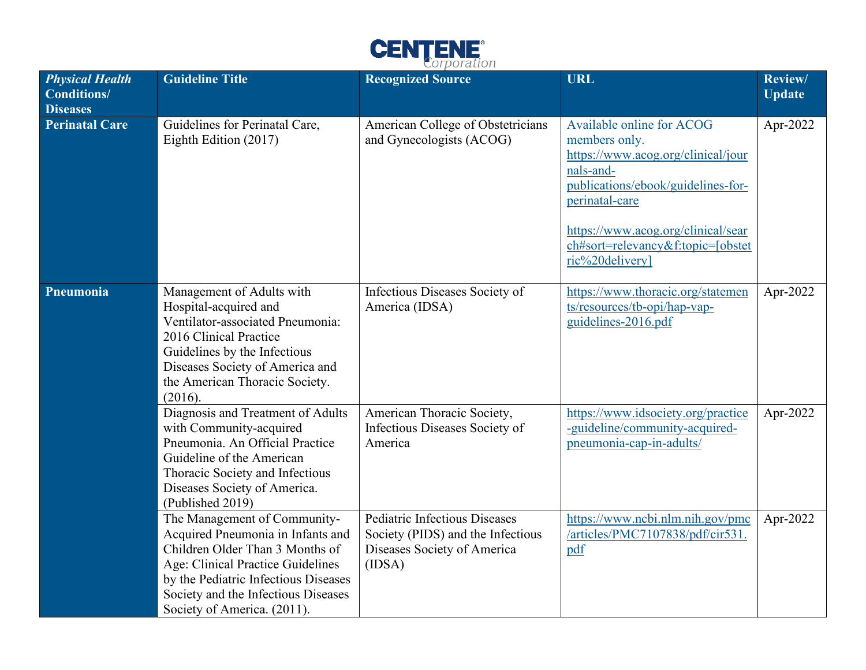

| <b>Physical Health</b><br><b>Conditions/</b><br><b>Diseases</b> | <b>Guideline Title</b>                                                                                                                                                                                                                                  | <b>Recognized Source</b>                                                                                           | <b>URL</b>                                                                                                                                                                                                                                          | Review/<br><b>Update</b> |
|-----------------------------------------------------------------|---------------------------------------------------------------------------------------------------------------------------------------------------------------------------------------------------------------------------------------------------------|--------------------------------------------------------------------------------------------------------------------|-----------------------------------------------------------------------------------------------------------------------------------------------------------------------------------------------------------------------------------------------------|--------------------------|
| <b>Perinatal Care</b>                                           | Guidelines for Perinatal Care,<br>Eighth Edition (2017)                                                                                                                                                                                                 | American College of Obstetricians<br>and Gynecologists (ACOG)                                                      | Available online for ACOG<br>members only.<br>https://www.acog.org/clinical/jour<br>nals-and-<br>publications/ebook/guidelines-for-<br>perinatal-care<br>https://www.acog.org/clinical/sear<br>ch#sort=relevancy&f:topic=[obstet<br>ric%20delivery] | Apr-2022                 |
| Pneumonia                                                       | Management of Adults with<br>Hospital-acquired and<br>Ventilator-associated Pneumonia:<br>2016 Clinical Practice<br>Guidelines by the Infectious<br>Diseases Society of America and<br>the American Thoracic Society.<br>(2016).                        | Infectious Diseases Society of<br>America (IDSA)                                                                   | https://www.thoracic.org/statemen<br>ts/resources/tb-opi/hap-vap-<br>guidelines-2016.pdf                                                                                                                                                            | Apr-2022                 |
|                                                                 | Diagnosis and Treatment of Adults<br>with Community-acquired<br>Pneumonia. An Official Practice<br>Guideline of the American<br>Thoracic Society and Infectious<br>Diseases Society of America.<br>(Published 2019)                                     | American Thoracic Society,<br>Infectious Diseases Society of<br>America                                            | https://www.idsociety.org/practice<br>-guideline/community-acquired-<br>pneumonia-cap-in-adults/                                                                                                                                                    | Apr-2022                 |
|                                                                 | The Management of Community-<br>Acquired Pneumonia in Infants and<br>Children Older Than 3 Months of<br>Age: Clinical Practice Guidelines<br>by the Pediatric Infectious Diseases<br>Society and the Infectious Diseases<br>Society of America. (2011). | <b>Pediatric Infectious Diseases</b><br>Society (PIDS) and the Infectious<br>Diseases Society of America<br>(IDSA) | https://www.ncbi.nlm.nih.gov/pmc<br>/articles/PMC7107838/pdf/cir531.<br>pdf                                                                                                                                                                         | Apr-2022                 |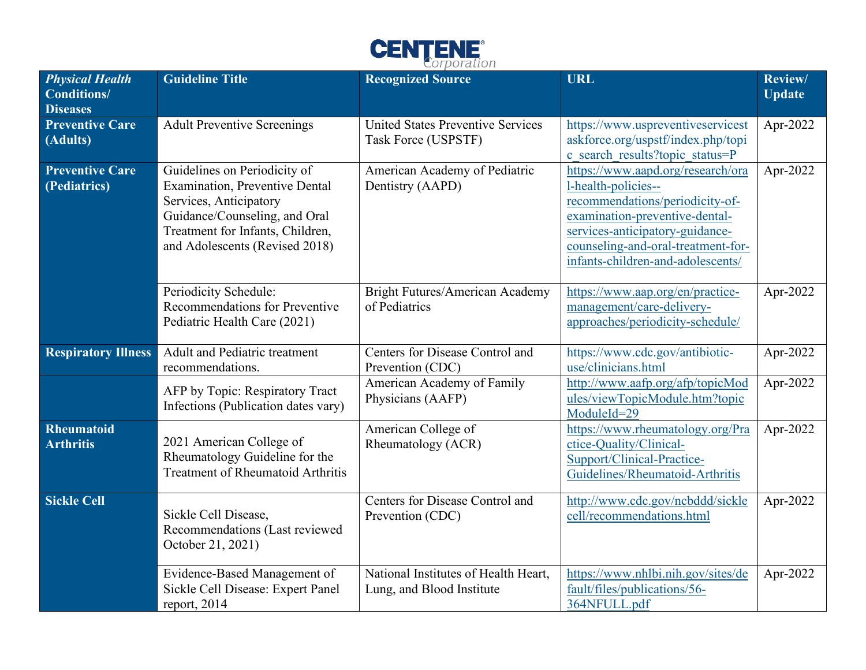

| <b>Physical Health</b><br><b>Conditions/</b><br><b>Diseases</b> | <b>Guideline Title</b>                                                                                                                                                                                 | <b>Recognized Source</b>                                          | <b>URL</b>                                                                                                                                                                                                                                  | Review/<br><b>Update</b> |
|-----------------------------------------------------------------|--------------------------------------------------------------------------------------------------------------------------------------------------------------------------------------------------------|-------------------------------------------------------------------|---------------------------------------------------------------------------------------------------------------------------------------------------------------------------------------------------------------------------------------------|--------------------------|
| <b>Preventive Care</b><br>(Adults)                              | <b>Adult Preventive Screenings</b>                                                                                                                                                                     | <b>United States Preventive Services</b><br>Task Force (USPSTF)   | https://www.uspreventiveservicest<br>askforce.org/uspstf/index.php/topi<br>c search results?topic status=P                                                                                                                                  | Apr-2022                 |
| <b>Preventive Care</b><br>(Pediatrics)                          | Guidelines on Periodicity of<br><b>Examination, Preventive Dental</b><br>Services, Anticipatory<br>Guidance/Counseling, and Oral<br>Treatment for Infants, Children,<br>and Adolescents (Revised 2018) | American Academy of Pediatric<br>Dentistry (AAPD)                 | https://www.aapd.org/research/ora<br>1-health-policies--<br>recommendations/periodicity-of-<br>examination-preventive-dental-<br>services-anticipatory-guidance-<br>counseling-and-oral-treatment-for-<br>infants-children-and-adolescents/ | Apr-2022                 |
|                                                                 | Periodicity Schedule:<br>Recommendations for Preventive<br>Pediatric Health Care (2021)                                                                                                                | Bright Futures/American Academy<br>of Pediatrics                  | https://www.aap.org/en/practice-<br>management/care-delivery-<br>approaches/periodicity-schedule/                                                                                                                                           | Apr-2022                 |
| <b>Respiratory Illness</b>                                      | <b>Adult and Pediatric treatment</b><br>recommendations.                                                                                                                                               | Centers for Disease Control and<br>Prevention (CDC)               | https://www.cdc.gov/antibiotic-<br>use/clinicians.html                                                                                                                                                                                      | Apr-2022                 |
|                                                                 | AFP by Topic: Respiratory Tract<br>Infections (Publication dates vary)                                                                                                                                 | American Academy of Family<br>Physicians (AAFP)                   | http://www.aafp.org/afp/topicMod<br>ules/viewTopicModule.htm?topic<br>ModuleId=29                                                                                                                                                           | Apr-2022                 |
| <b>Rheumatoid</b><br><b>Arthritis</b>                           | 2021 American College of<br>Rheumatology Guideline for the<br><b>Treatment of Rheumatoid Arthritis</b>                                                                                                 | American College of<br>Rheumatology (ACR)                         | https://www.rheumatology.org/Pra<br>ctice-Quality/Clinical-<br>Support/Clinical-Practice-<br>Guidelines/Rheumatoid-Arthritis                                                                                                                | Apr-2022                 |
| <b>Sickle Cell</b>                                              | Sickle Cell Disease,<br>Recommendations (Last reviewed<br>October 21, 2021)                                                                                                                            | Centers for Disease Control and<br>Prevention (CDC)               | http://www.cdc.gov/ncbddd/sickle<br>cell/recommendations.html                                                                                                                                                                               | Apr-2022                 |
|                                                                 | Evidence-Based Management of<br>Sickle Cell Disease: Expert Panel<br>report, $2014$                                                                                                                    | National Institutes of Health Heart,<br>Lung, and Blood Institute | https://www.nhlbi.nih.gov/sites/de<br>fault/files/publications/56-<br>364NFULL.pdf                                                                                                                                                          | Apr-2022                 |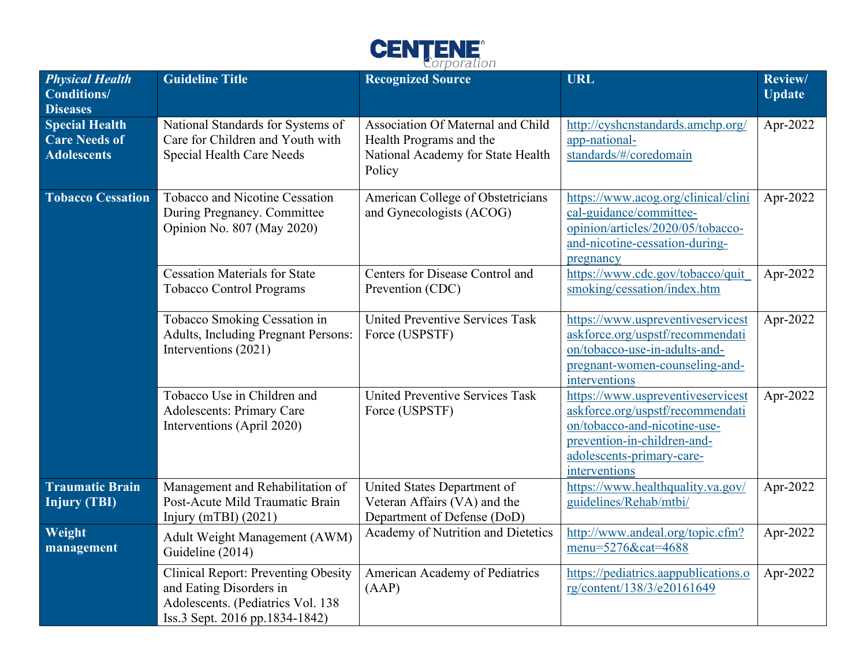

| <b>Physical Health</b><br><b>Conditions/</b><br><b>Diseases</b>     | <b>Guideline Title</b>                                                                                                                       | <b>Recognized Source</b>                                                                                    | <b>URL</b>                                                                                                                                                                         | Review/<br><b>Update</b> |
|---------------------------------------------------------------------|----------------------------------------------------------------------------------------------------------------------------------------------|-------------------------------------------------------------------------------------------------------------|------------------------------------------------------------------------------------------------------------------------------------------------------------------------------------|--------------------------|
| <b>Special Health</b><br><b>Care Needs of</b><br><b>Adolescents</b> | National Standards for Systems of<br>Care for Children and Youth with<br>Special Health Care Needs                                           | Association Of Maternal and Child<br>Health Programs and the<br>National Academy for State Health<br>Policy | http://cyshcnstandards.amchp.org/<br>app-national-<br>standards/#/coredomain                                                                                                       | Apr-2022                 |
| <b>Tobacco Cessation</b>                                            | Tobacco and Nicotine Cessation<br>During Pregnancy. Committee<br>Opinion No. 807 (May 2020)                                                  | American College of Obstetricians<br>and Gynecologists (ACOG)                                               | https://www.acog.org/clinical/clini<br>cal-guidance/committee-<br>opinion/articles/2020/05/tobacco-<br>and-nicotine-cessation-during-<br>pregnancy                                 | Apr-2022                 |
|                                                                     | <b>Cessation Materials for State</b><br><b>Tobacco Control Programs</b>                                                                      | Centers for Disease Control and<br>Prevention (CDC)                                                         | https://www.cdc.gov/tobacco/quit<br>smoking/cessation/index.htm                                                                                                                    | Apr-2022                 |
|                                                                     | Tobacco Smoking Cessation in<br>Adults, Including Pregnant Persons:<br>Interventions (2021)                                                  | <b>United Preventive Services Task</b><br>Force (USPSTF)                                                    | https://www.uspreventiveservicest<br>askforce.org/uspstf/recommendati<br>on/tobacco-use-in-adults-and-<br>pregnant-women-counseling-and-<br>interventions                          | Apr-2022                 |
|                                                                     | Tobacco Use in Children and<br><b>Adolescents: Primary Care</b><br>Interventions (April 2020)                                                | United Preventive Services Task<br>Force (USPSTF)                                                           | https://www.uspreventiveservicest<br>askforce.org/uspstf/recommendati<br>on/tobacco-and-nicotine-use-<br>prevention-in-children-and-<br>adolescents-primary-care-<br>interventions | Apr-2022                 |
| <b>Traumatic Brain</b><br>Injury (TBI)                              | Management and Rehabilitation of<br>Post-Acute Mild Traumatic Brain<br>Injury (mTBI) $(2021)$                                                | United States Department of<br>Veteran Affairs (VA) and the<br>Department of Defense (DoD)                  | https://www.healthquality.va.gov/<br>guidelines/Rehab/mtbi/                                                                                                                        | Apr-2022                 |
| Weight<br>management                                                | Adult Weight Management (AWM)<br>Guideline (2014)                                                                                            | Academy of Nutrition and Dietetics                                                                          | http://www.andeal.org/topic.cfm?<br>menu=5276&cat=4688                                                                                                                             | Apr-2022                 |
|                                                                     | <b>Clinical Report: Preventing Obesity</b><br>and Eating Disorders in<br>Adolescents. (Pediatrics Vol. 138<br>Iss.3 Sept. 2016 pp.1834-1842) | American Academy of Pediatrics<br>(AAP)                                                                     | https://pediatrics.aappublications.o<br>rg/content/138/3/e20161649                                                                                                                 | Apr-2022                 |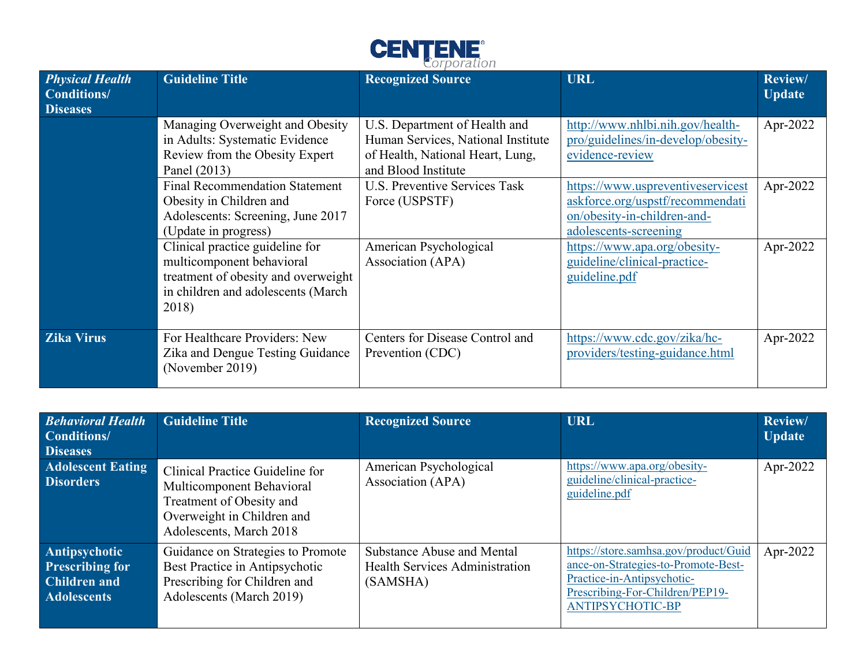

|                                                          |                                                                                                                                                    | $\sim$ , $\sim$ , $\sim$ , $\sim$ , $\sim$ , $\sim$                                                                            |                                                                                                                               |                                 |
|----------------------------------------------------------|----------------------------------------------------------------------------------------------------------------------------------------------------|--------------------------------------------------------------------------------------------------------------------------------|-------------------------------------------------------------------------------------------------------------------------------|---------------------------------|
| <b>Physical Health</b><br>Conditions/<br><b>Diseases</b> | <b>Guideline Title</b>                                                                                                                             | <b>Recognized Source</b>                                                                                                       | <b>URL</b>                                                                                                                    | <b>Review/</b><br><b>Update</b> |
|                                                          | Managing Overweight and Obesity<br>in Adults: Systematic Evidence<br>Review from the Obesity Expert<br>Panel (2013)                                | U.S. Department of Health and<br>Human Services, National Institute<br>of Health, National Heart, Lung,<br>and Blood Institute | http://www.nhlbi.nih.gov/health-<br>pro/guidelines/in-develop/obesity-<br>evidence-review                                     | Apr-2022                        |
|                                                          | <b>Final Recommendation Statement</b><br>Obesity in Children and<br>Adolescents: Screening, June 2017<br>(Update in progress)                      | <b>U.S. Preventive Services Task</b><br>Force (USPSTF)                                                                         | https://www.uspreventiveservicest<br>askforce.org/uspstf/recommendati<br>on/obesity-in-children-and-<br>adolescents-screening | Apr-2022                        |
|                                                          | Clinical practice guideline for<br>multicomponent behavioral<br>treatment of obesity and overweight<br>in children and adolescents (March<br>2018) | American Psychological<br>Association (APA)                                                                                    | https://www.apa.org/obesity-<br>guideline/clinical-practice-<br>guideline.pdf                                                 | Apr-2022                        |
| <b>Zika Virus</b>                                        | For Healthcare Providers: New<br>Zika and Dengue Testing Guidance<br>(November 2019)                                                               | Centers for Disease Control and<br>Prevention (CDC)                                                                            | https://www.cdc.gov/zika/hc-<br>providers/testing-guidance.html                                                               | Apr-2022                        |

| <b>Behavioral Health</b><br><b>Conditions/</b><br><b>Diseases</b>                    | <b>Guideline Title</b>                                                                                                                            | <b>Recognized Source</b>                                                               | <b>URL</b>                                                                                                                                                               | Review/<br><b>Update</b> |
|--------------------------------------------------------------------------------------|---------------------------------------------------------------------------------------------------------------------------------------------------|----------------------------------------------------------------------------------------|--------------------------------------------------------------------------------------------------------------------------------------------------------------------------|--------------------------|
| <b>Adolescent Eating</b><br><b>Disorders</b>                                         | Clinical Practice Guideline for<br>Multicomponent Behavioral<br>Treatment of Obesity and<br>Overweight in Children and<br>Adolescents, March 2018 | American Psychological<br>Association (APA)                                            | https://www.apa.org/obesity-<br>guideline/clinical-practice-<br>guideline.pdf                                                                                            | Apr-2022                 |
| Antipsychotic<br><b>Prescribing for</b><br><b>Children and</b><br><b>Adolescents</b> | Guidance on Strategies to Promote<br>Best Practice in Antipsychotic<br>Prescribing for Children and<br>Adolescents (March 2019)                   | <b>Substance Abuse and Mental</b><br><b>Health Services Administration</b><br>(SAMSHA) | https://store.samhsa.gov/product/Guid<br>ance-on-Strategies-to-Promote-Best-<br>Practice-in-Antipsychotic-<br>Prescribing-For-Children/PEP19-<br><b>ANTIPSYCHOTIC-BP</b> | Apr-2022                 |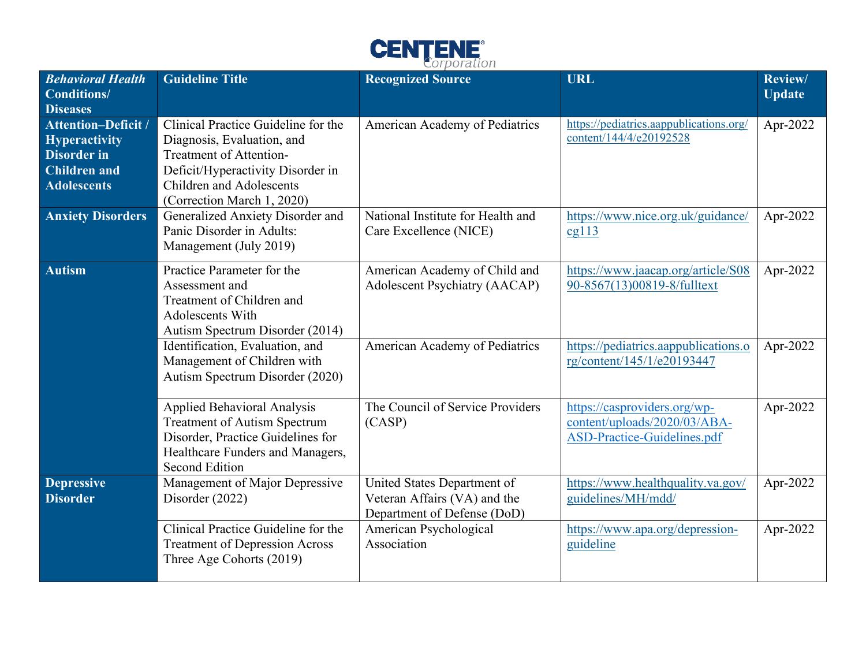

| <b>Behavioral Health</b><br><b>Conditions/</b><br><b>Diseases</b>                                                     | <b>Guideline Title</b>                                                                                                                                                                             | <b>Recognized Source</b>                                                                   | <b>URL</b>                                                                                  | Review/<br><b>Update</b> |
|-----------------------------------------------------------------------------------------------------------------------|----------------------------------------------------------------------------------------------------------------------------------------------------------------------------------------------------|--------------------------------------------------------------------------------------------|---------------------------------------------------------------------------------------------|--------------------------|
| <b>Attention-Deficit /</b><br><b>Hyperactivity</b><br><b>Disorder</b> in<br><b>Children</b> and<br><b>Adolescents</b> | Clinical Practice Guideline for the<br>Diagnosis, Evaluation, and<br>Treatment of Attention-<br>Deficit/Hyperactivity Disorder in<br><b>Children and Adolescents</b><br>(Correction March 1, 2020) | American Academy of Pediatrics                                                             | https://pediatrics.aappublications.org/<br>content/144/4/e20192528                          | Apr-2022                 |
| <b>Anxiety Disorders</b>                                                                                              | Generalized Anxiety Disorder and<br>Panic Disorder in Adults:<br>Management (July 2019)                                                                                                            | National Institute for Health and<br>Care Excellence (NICE)                                | https://www.nice.org.uk/guidance/<br>cg113                                                  | Apr-2022                 |
| Autism                                                                                                                | Practice Parameter for the<br>Assessment and<br>Treatment of Children and<br>Adolescents With<br>Autism Spectrum Disorder (2014)                                                                   | American Academy of Child and<br><b>Adolescent Psychiatry (AACAP)</b>                      | https://www.jaacap.org/article/S08<br>90-8567(13)00819-8/fulltext                           | Apr-2022                 |
|                                                                                                                       | Identification, Evaluation, and<br>Management of Children with<br>Autism Spectrum Disorder (2020)                                                                                                  | American Academy of Pediatrics                                                             | https://pediatrics.aappublications.o<br>rg/content/145/1/e20193447                          | Apr-2022                 |
|                                                                                                                       | <b>Applied Behavioral Analysis</b><br><b>Treatment of Autism Spectrum</b><br>Disorder, Practice Guidelines for<br>Healthcare Funders and Managers,<br><b>Second Edition</b>                        | The Council of Service Providers<br>(CASP)                                                 | https://casproviders.org/wp-<br>content/uploads/2020/03/ABA-<br>ASD-Practice-Guidelines.pdf | Apr-2022                 |
| <b>Depressive</b><br><b>Disorder</b>                                                                                  | Management of Major Depressive<br>Disorder (2022)                                                                                                                                                  | United States Department of<br>Veteran Affairs (VA) and the<br>Department of Defense (DoD) | https://www.healthquality.va.gov/<br>guidelines/MH/mdd/                                     | Apr-2022                 |
|                                                                                                                       | Clinical Practice Guideline for the<br><b>Treatment of Depression Across</b><br>Three Age Cohorts (2019)                                                                                           | American Psychological<br>Association                                                      | https://www.apa.org/depression-<br>guideline                                                | Apr-2022                 |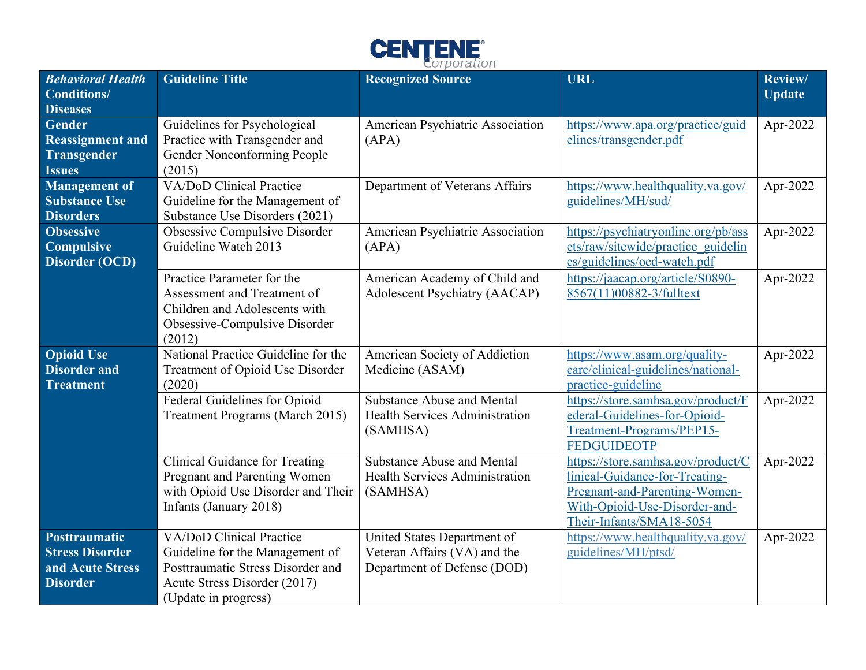

| <b>Behavioral Health</b><br>Conditions/                                                     | <b>Guideline Title</b>                                                                                                                                   | <b>Recognized Source</b>                                                                   | <b>URL</b>                                                                                                                                                         | Review/<br><b>Update</b> |
|---------------------------------------------------------------------------------------------|----------------------------------------------------------------------------------------------------------------------------------------------------------|--------------------------------------------------------------------------------------------|--------------------------------------------------------------------------------------------------------------------------------------------------------------------|--------------------------|
| <b>Diseases</b><br><b>Gender</b><br><b>Reassignment and</b><br>Transgender<br><b>Issues</b> | Guidelines for Psychological<br>Practice with Transgender and<br>Gender Nonconforming People<br>(2015)                                                   | American Psychiatric Association<br>(APA)                                                  | https://www.apa.org/practice/guid<br>elines/transgender.pdf                                                                                                        | Apr-2022                 |
| <b>Management of</b><br><b>Substance Use</b><br><b>Disorders</b>                            | VA/DoD Clinical Practice<br>Guideline for the Management of<br>Substance Use Disorders (2021)                                                            | Department of Veterans Affairs                                                             | https://www.healthquality.va.gov/<br>guidelines/MH/sud/                                                                                                            | Apr-2022                 |
| <b>Obsessive</b><br><b>Compulsive</b><br><b>Disorder (OCD)</b>                              | Obsessive Compulsive Disorder<br>Guideline Watch 2013                                                                                                    | American Psychiatric Association<br>(APA)                                                  | https://psychiatryonline.org/pb/ass<br>ets/raw/sitewide/practice guidelin<br>es/guidelines/ocd-watch.pdf                                                           | Apr-2022                 |
|                                                                                             | Practice Parameter for the<br>Assessment and Treatment of<br>Children and Adolescents with<br>Obsessive-Compulsive Disorder<br>(2012)                    | American Academy of Child and<br><b>Adolescent Psychiatry (AACAP)</b>                      | https://jaacap.org/article/S0890-<br>8567(11)00882-3/fulltext                                                                                                      | Apr-2022                 |
| <b>Opioid Use</b><br><b>Disorder and</b><br><b>Treatment</b>                                | National Practice Guideline for the<br>Treatment of Opioid Use Disorder<br>(2020)                                                                        | American Society of Addiction<br>Medicine (ASAM)                                           | https://www.asam.org/quality-<br>care/clinical-guidelines/national-<br>practice-guideline                                                                          | Apr-2022                 |
|                                                                                             | Federal Guidelines for Opioid<br>Treatment Programs (March 2015)                                                                                         | <b>Substance Abuse and Mental</b><br><b>Health Services Administration</b><br>(SAMHSA)     | https://store.samhsa.gov/product/F<br>ederal-Guidelines-for-Opioid-<br>Treatment-Programs/PEP15-<br><b>FEDGUIDEOTP</b>                                             | Apr-2022                 |
|                                                                                             | <b>Clinical Guidance for Treating</b><br>Pregnant and Parenting Women<br>with Opioid Use Disorder and Their<br>Infants (January 2018)                    | <b>Substance Abuse and Mental</b><br>Health Services Administration<br>(SAMHSA)            | https://store.samhsa.gov/product/C<br>linical-Guidance-for-Treating-<br>Pregnant-and-Parenting-Women-<br>With-Opioid-Use-Disorder-and-<br>Their-Infants/SMA18-5054 | Apr-2022                 |
| Posttraumatic<br><b>Stress Disorder</b><br>and Acute Stress<br><b>Disorder</b>              | VA/DoD Clinical Practice<br>Guideline for the Management of<br>Posttraumatic Stress Disorder and<br>Acute Stress Disorder (2017)<br>(Update in progress) | United States Department of<br>Veteran Affairs (VA) and the<br>Department of Defense (DOD) | https://www.healthquality.va.gov/<br>guidelines/MH/ptsd/                                                                                                           | Apr-2022                 |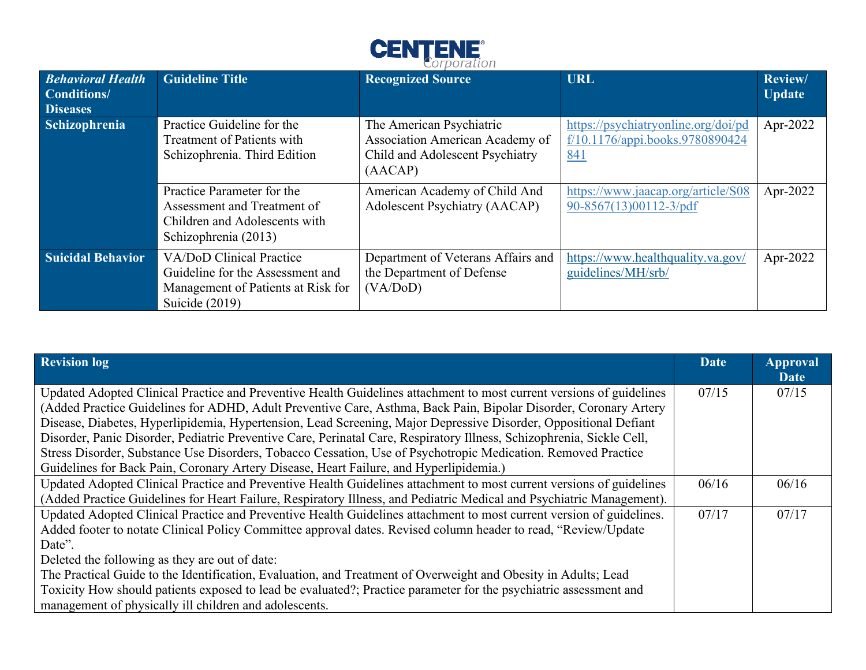

| <b>Behavioral Health</b><br>Conditions/<br><b>Diseases</b> | <b>Guideline Title</b>                                                                                               | <b>Recognized Source</b>                                                                                  | <b>URL</b>                                                                           | Review/<br><b>Update</b> |
|------------------------------------------------------------|----------------------------------------------------------------------------------------------------------------------|-----------------------------------------------------------------------------------------------------------|--------------------------------------------------------------------------------------|--------------------------|
| <b>Schizophrenia</b>                                       | Practice Guideline for the<br>Treatment of Patients with<br>Schizophrenia. Third Edition                             | The American Psychiatric<br>Association American Academy of<br>Child and Adolescent Psychiatry<br>(AACAP) | https://psychiatryonline.org/doi/pd<br>f/10.1176/appi.books.9780890424<br><u>841</u> | Apr-2022                 |
|                                                            | Practice Parameter for the<br>Assessment and Treatment of<br>Children and Adolescents with<br>Schizophrenia (2013)   | American Academy of Child And<br><b>Adolescent Psychiatry (AACAP)</b>                                     | https://www.jaacap.org/article/S08<br>$90 - 8567(13)00112 - 3$ pdf                   | Apr-2022                 |
| <b>Suicidal Behavior</b>                                   | VA/DoD Clinical Practice<br>Guideline for the Assessment and<br>Management of Patients at Risk for<br>Suicide (2019) | Department of Veterans Affairs and<br>the Department of Defense<br>(VA/DoD)                               | https://www.healthquality.va.gov/<br>guidelines/MH/srb/                              | Apr-2022                 |

| <b>Revision log</b>                                                                                                                                                                                                                                                                                                                                                                                                                                                                                                                                                                                                                                                                              | Date  | <b>Approval</b><br><b>Date</b> |
|--------------------------------------------------------------------------------------------------------------------------------------------------------------------------------------------------------------------------------------------------------------------------------------------------------------------------------------------------------------------------------------------------------------------------------------------------------------------------------------------------------------------------------------------------------------------------------------------------------------------------------------------------------------------------------------------------|-------|--------------------------------|
| Updated Adopted Clinical Practice and Preventive Health Guidelines attachment to most current versions of guidelines<br>(Added Practice Guidelines for ADHD, Adult Preventive Care, Asthma, Back Pain, Bipolar Disorder, Coronary Artery<br>Disease, Diabetes, Hyperlipidemia, Hypertension, Lead Screening, Major Depressive Disorder, Oppositional Defiant<br>Disorder, Panic Disorder, Pediatric Preventive Care, Perinatal Care, Respiratory Illness, Schizophrenia, Sickle Cell,<br>Stress Disorder, Substance Use Disorders, Tobacco Cessation, Use of Psychotropic Medication. Removed Practice<br>Guidelines for Back Pain, Coronary Artery Disease, Heart Failure, and Hyperlipidemia.) | 07/15 | 07/15                          |
| Updated Adopted Clinical Practice and Preventive Health Guidelines attachment to most current versions of guidelines<br>(Added Practice Guidelines for Heart Failure, Respiratory Illness, and Pediatric Medical and Psychiatric Management).                                                                                                                                                                                                                                                                                                                                                                                                                                                    | 06/16 | 06/16                          |
| Updated Adopted Clinical Practice and Preventive Health Guidelines attachment to most current version of guidelines.<br>Added footer to notate Clinical Policy Committee approval dates. Revised column header to read, "Review/Update<br>Date".<br>Deleted the following as they are out of date:<br>The Practical Guide to the Identification, Evaluation, and Treatment of Overweight and Obesity in Adults; Lead<br>Toxicity How should patients exposed to lead be evaluated?; Practice parameter for the psychiatric assessment and<br>management of physically ill children and adolescents.                                                                                              | 07/17 | 07/17                          |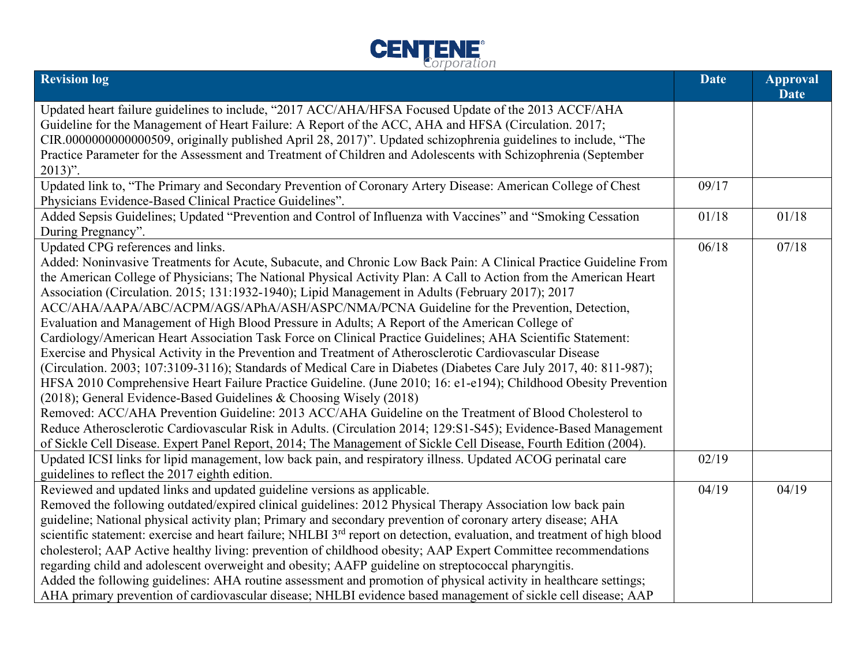

| <b>Revision log</b>                                                                                                                                                                                                                                                                                                                                                                                                                                                                                                                                                                                                                                                                                                                                                                                                                                                                                                                                                                                                                                                                                                                                                                                                                                                                                                                                                                                                                                                       | <b>Date</b> | <b>Approval</b><br><b>Date</b> |
|---------------------------------------------------------------------------------------------------------------------------------------------------------------------------------------------------------------------------------------------------------------------------------------------------------------------------------------------------------------------------------------------------------------------------------------------------------------------------------------------------------------------------------------------------------------------------------------------------------------------------------------------------------------------------------------------------------------------------------------------------------------------------------------------------------------------------------------------------------------------------------------------------------------------------------------------------------------------------------------------------------------------------------------------------------------------------------------------------------------------------------------------------------------------------------------------------------------------------------------------------------------------------------------------------------------------------------------------------------------------------------------------------------------------------------------------------------------------------|-------------|--------------------------------|
| Updated heart failure guidelines to include, "2017 ACC/AHA/HFSA Focused Update of the 2013 ACCF/AHA<br>Guideline for the Management of Heart Failure: A Report of the ACC, AHA and HFSA (Circulation. 2017;<br>CIR.0000000000000509, originally published April 28, 2017)". Updated schizophrenia guidelines to include, "The<br>Practice Parameter for the Assessment and Treatment of Children and Adolescents with Schizophrenia (September<br>$2013)$ ".                                                                                                                                                                                                                                                                                                                                                                                                                                                                                                                                                                                                                                                                                                                                                                                                                                                                                                                                                                                                              |             |                                |
| Updated link to, "The Primary and Secondary Prevention of Coronary Artery Disease: American College of Chest<br>Physicians Evidence-Based Clinical Practice Guidelines".                                                                                                                                                                                                                                                                                                                                                                                                                                                                                                                                                                                                                                                                                                                                                                                                                                                                                                                                                                                                                                                                                                                                                                                                                                                                                                  | 09/17       |                                |
| Added Sepsis Guidelines; Updated "Prevention and Control of Influenza with Vaccines" and "Smoking Cessation<br>During Pregnancy".                                                                                                                                                                                                                                                                                                                                                                                                                                                                                                                                                                                                                                                                                                                                                                                                                                                                                                                                                                                                                                                                                                                                                                                                                                                                                                                                         | 01/18       | 01/18                          |
| Updated CPG references and links.<br>Added: Noninvasive Treatments for Acute, Subacute, and Chronic Low Back Pain: A Clinical Practice Guideline From<br>the American College of Physicians; The National Physical Activity Plan: A Call to Action from the American Heart<br>Association (Circulation. 2015; 131:1932-1940); Lipid Management in Adults (February 2017); 2017<br>ACC/AHA/AAPA/ABC/ACPM/AGS/APhA/ASH/ASPC/NMA/PCNA Guideline for the Prevention, Detection,<br>Evaluation and Management of High Blood Pressure in Adults; A Report of the American College of<br>Cardiology/American Heart Association Task Force on Clinical Practice Guidelines; AHA Scientific Statement:<br>Exercise and Physical Activity in the Prevention and Treatment of Atherosclerotic Cardiovascular Disease<br>(Circulation. 2003; 107:3109-3116); Standards of Medical Care in Diabetes (Diabetes Care July 2017, 40: 811-987);<br>HFSA 2010 Comprehensive Heart Failure Practice Guideline. (June 2010; 16: e1-e194); Childhood Obesity Prevention<br>(2018); General Evidence-Based Guidelines & Choosing Wisely (2018)<br>Removed: ACC/AHA Prevention Guideline: 2013 ACC/AHA Guideline on the Treatment of Blood Cholesterol to<br>Reduce Atherosclerotic Cardiovascular Risk in Adults. (Circulation 2014; 129:S1-S45); Evidence-Based Management<br>of Sickle Cell Disease. Expert Panel Report, 2014; The Management of Sickle Cell Disease, Fourth Edition (2004). | 06/18       | 07/18                          |
| Updated ICSI links for lipid management, low back pain, and respiratory illness. Updated ACOG perinatal care<br>guidelines to reflect the 2017 eighth edition.                                                                                                                                                                                                                                                                                                                                                                                                                                                                                                                                                                                                                                                                                                                                                                                                                                                                                                                                                                                                                                                                                                                                                                                                                                                                                                            | 02/19       |                                |
| Reviewed and updated links and updated guideline versions as applicable.<br>Removed the following outdated/expired clinical guidelines: 2012 Physical Therapy Association low back pain<br>guideline; National physical activity plan; Primary and secondary prevention of coronary artery disease; AHA<br>scientific statement: exercise and heart failure; NHLBI 3 <sup>rd</sup> report on detection, evaluation, and treatment of high blood<br>cholesterol; AAP Active healthy living: prevention of childhood obesity; AAP Expert Committee recommendations<br>regarding child and adolescent overweight and obesity; AAFP guideline on streptococcal pharyngitis.<br>Added the following guidelines: AHA routine assessment and promotion of physical activity in healthcare settings;<br>AHA primary prevention of cardiovascular disease; NHLBI evidence based management of sickle cell disease; AAP                                                                                                                                                                                                                                                                                                                                                                                                                                                                                                                                                             | 04/19       | 04/19                          |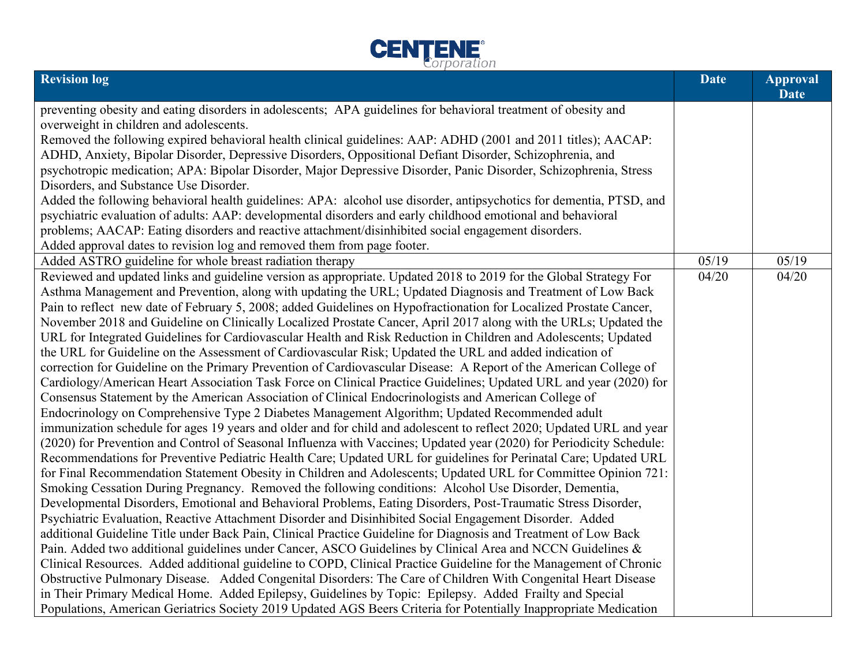

| <b>Revision log</b>                                                                                                  | <b>Date</b> | <b>Approval</b><br><b>Date</b> |
|----------------------------------------------------------------------------------------------------------------------|-------------|--------------------------------|
| preventing obesity and eating disorders in adolescents; APA guidelines for behavioral treatment of obesity and       |             |                                |
| overweight in children and adolescents.                                                                              |             |                                |
| Removed the following expired behavioral health clinical guidelines: AAP: ADHD (2001 and 2011 titles); AACAP:        |             |                                |
| ADHD, Anxiety, Bipolar Disorder, Depressive Disorders, Oppositional Defiant Disorder, Schizophrenia, and             |             |                                |
| psychotropic medication; APA: Bipolar Disorder, Major Depressive Disorder, Panic Disorder, Schizophrenia, Stress     |             |                                |
| Disorders, and Substance Use Disorder.                                                                               |             |                                |
| Added the following behavioral health guidelines: APA: alcohol use disorder, antipsychotics for dementia, PTSD, and  |             |                                |
| psychiatric evaluation of adults: AAP: developmental disorders and early childhood emotional and behavioral          |             |                                |
| problems; AACAP: Eating disorders and reactive attachment/disinhibited social engagement disorders.                  |             |                                |
| Added approval dates to revision log and removed them from page footer.                                              |             |                                |
| Added ASTRO guideline for whole breast radiation therapy                                                             | 05/19       | 05/19                          |
| Reviewed and updated links and guideline version as appropriate. Updated 2018 to 2019 for the Global Strategy For    | 04/20       | 04/20                          |
| Asthma Management and Prevention, along with updating the URL; Updated Diagnosis and Treatment of Low Back           |             |                                |
| Pain to reflect new date of February 5, 2008; added Guidelines on Hypofractionation for Localized Prostate Cancer,   |             |                                |
| November 2018 and Guideline on Clinically Localized Prostate Cancer, April 2017 along with the URLs; Updated the     |             |                                |
| URL for Integrated Guidelines for Cardiovascular Health and Risk Reduction in Children and Adolescents; Updated      |             |                                |
| the URL for Guideline on the Assessment of Cardiovascular Risk; Updated the URL and added indication of              |             |                                |
| correction for Guideline on the Primary Prevention of Cardiovascular Disease: A Report of the American College of    |             |                                |
| Cardiology/American Heart Association Task Force on Clinical Practice Guidelines; Updated URL and year (2020) for    |             |                                |
| Consensus Statement by the American Association of Clinical Endocrinologists and American College of                 |             |                                |
| Endocrinology on Comprehensive Type 2 Diabetes Management Algorithm; Updated Recommended adult                       |             |                                |
| immunization schedule for ages 19 years and older and for child and adolescent to reflect 2020; Updated URL and year |             |                                |
| (2020) for Prevention and Control of Seasonal Influenza with Vaccines; Updated year (2020) for Periodicity Schedule: |             |                                |
| Recommendations for Preventive Pediatric Health Care; Updated URL for guidelines for Perinatal Care; Updated URL     |             |                                |
| for Final Recommendation Statement Obesity in Children and Adolescents; Updated URL for Committee Opinion 721:       |             |                                |
| Smoking Cessation During Pregnancy. Removed the following conditions: Alcohol Use Disorder, Dementia,                |             |                                |
| Developmental Disorders, Emotional and Behavioral Problems, Eating Disorders, Post-Traumatic Stress Disorder,        |             |                                |
| Psychiatric Evaluation, Reactive Attachment Disorder and Disinhibited Social Engagement Disorder. Added              |             |                                |
| additional Guideline Title under Back Pain, Clinical Practice Guideline for Diagnosis and Treatment of Low Back      |             |                                |
| Pain. Added two additional guidelines under Cancer, ASCO Guidelines by Clinical Area and NCCN Guidelines &           |             |                                |
| Clinical Resources. Added additional guideline to COPD, Clinical Practice Guideline for the Management of Chronic    |             |                                |
| Obstructive Pulmonary Disease. Added Congenital Disorders: The Care of Children With Congenital Heart Disease        |             |                                |
| in Their Primary Medical Home. Added Epilepsy, Guidelines by Topic: Epilepsy. Added Frailty and Special              |             |                                |
| Populations, American Geriatrics Society 2019 Updated AGS Beers Criteria for Potentially Inappropriate Medication    |             |                                |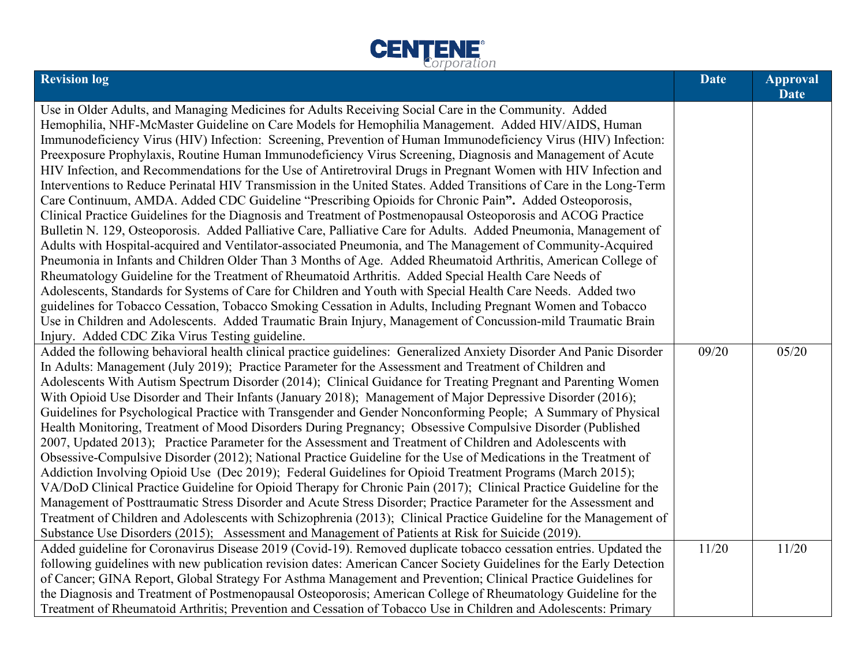

| <b>Revision log</b>                                                                                                                                                                                                    | <b>Date</b> | <b>Approval</b><br><b>Date</b> |
|------------------------------------------------------------------------------------------------------------------------------------------------------------------------------------------------------------------------|-------------|--------------------------------|
| Use in Older Adults, and Managing Medicines for Adults Receiving Social Care in the Community. Added                                                                                                                   |             |                                |
| Hemophilia, NHF-McMaster Guideline on Care Models for Hemophilia Management. Added HIV/AIDS, Human                                                                                                                     |             |                                |
| Immunodeficiency Virus (HIV) Infection: Screening, Prevention of Human Immunodeficiency Virus (HIV) Infection:                                                                                                         |             |                                |
| Preexposure Prophylaxis, Routine Human Immunodeficiency Virus Screening, Diagnosis and Management of Acute                                                                                                             |             |                                |
| HIV Infection, and Recommendations for the Use of Antiretroviral Drugs in Pregnant Women with HIV Infection and                                                                                                        |             |                                |
| Interventions to Reduce Perinatal HIV Transmission in the United States. Added Transitions of Care in the Long-Term                                                                                                    |             |                                |
| Care Continuum, AMDA. Added CDC Guideline "Prescribing Opioids for Chronic Pain". Added Osteoporosis,                                                                                                                  |             |                                |
| Clinical Practice Guidelines for the Diagnosis and Treatment of Postmenopausal Osteoporosis and ACOG Practice                                                                                                          |             |                                |
| Bulletin N. 129, Osteoporosis. Added Palliative Care, Palliative Care for Adults. Added Pneumonia, Management of                                                                                                       |             |                                |
| Adults with Hospital-acquired and Ventilator-associated Pneumonia, and The Management of Community-Acquired                                                                                                            |             |                                |
| Pneumonia in Infants and Children Older Than 3 Months of Age. Added Rheumatoid Arthritis, American College of                                                                                                          |             |                                |
| Rheumatology Guideline for the Treatment of Rheumatoid Arthritis. Added Special Health Care Needs of                                                                                                                   |             |                                |
| Adolescents, Standards for Systems of Care for Children and Youth with Special Health Care Needs. Added two                                                                                                            |             |                                |
| guidelines for Tobacco Cessation, Tobacco Smoking Cessation in Adults, Including Pregnant Women and Tobacco                                                                                                            |             |                                |
| Use in Children and Adolescents. Added Traumatic Brain Injury, Management of Concussion-mild Traumatic Brain                                                                                                           |             |                                |
| Injury. Added CDC Zika Virus Testing guideline.                                                                                                                                                                        |             |                                |
| Added the following behavioral health clinical practice guidelines: Generalized Anxiety Disorder And Panic Disorder                                                                                                    | 09/20       | 05/20                          |
| In Adults: Management (July 2019); Practice Parameter for the Assessment and Treatment of Children and                                                                                                                 |             |                                |
| Adolescents With Autism Spectrum Disorder (2014); Clinical Guidance for Treating Pregnant and Parenting Women                                                                                                          |             |                                |
| With Opioid Use Disorder and Their Infants (January 2018); Management of Major Depressive Disorder (2016);                                                                                                             |             |                                |
| Guidelines for Psychological Practice with Transgender and Gender Nonconforming People; A Summary of Physical                                                                                                          |             |                                |
| Health Monitoring, Treatment of Mood Disorders During Pregnancy; Obsessive Compulsive Disorder (Published                                                                                                              |             |                                |
| 2007, Updated 2013); Practice Parameter for the Assessment and Treatment of Children and Adolescents with                                                                                                              |             |                                |
| Obsessive-Compulsive Disorder (2012); National Practice Guideline for the Use of Medications in the Treatment of                                                                                                       |             |                                |
| Addiction Involving Opioid Use (Dec 2019); Federal Guidelines for Opioid Treatment Programs (March 2015);                                                                                                              |             |                                |
| VA/DoD Clinical Practice Guideline for Opioid Therapy for Chronic Pain (2017); Clinical Practice Guideline for the                                                                                                     |             |                                |
| Management of Posttraumatic Stress Disorder and Acute Stress Disorder; Practice Parameter for the Assessment and                                                                                                       |             |                                |
| Treatment of Children and Adolescents with Schizophrenia (2013); Clinical Practice Guideline for the Management of                                                                                                     |             |                                |
| Substance Use Disorders (2015); Assessment and Management of Patients at Risk for Suicide (2019).<br>Added guideline for Coronavirus Disease 2019 (Covid-19). Removed duplicate tobacco cessation entries. Updated the | 11/20       | 11/20                          |
| following guidelines with new publication revision dates: American Cancer Society Guidelines for the Early Detection                                                                                                   |             |                                |
| of Cancer; GINA Report, Global Strategy For Asthma Management and Prevention; Clinical Practice Guidelines for                                                                                                         |             |                                |
| the Diagnosis and Treatment of Postmenopausal Osteoporosis; American College of Rheumatology Guideline for the                                                                                                         |             |                                |
| Treatment of Rheumatoid Arthritis; Prevention and Cessation of Tobacco Use in Children and Adolescents: Primary                                                                                                        |             |                                |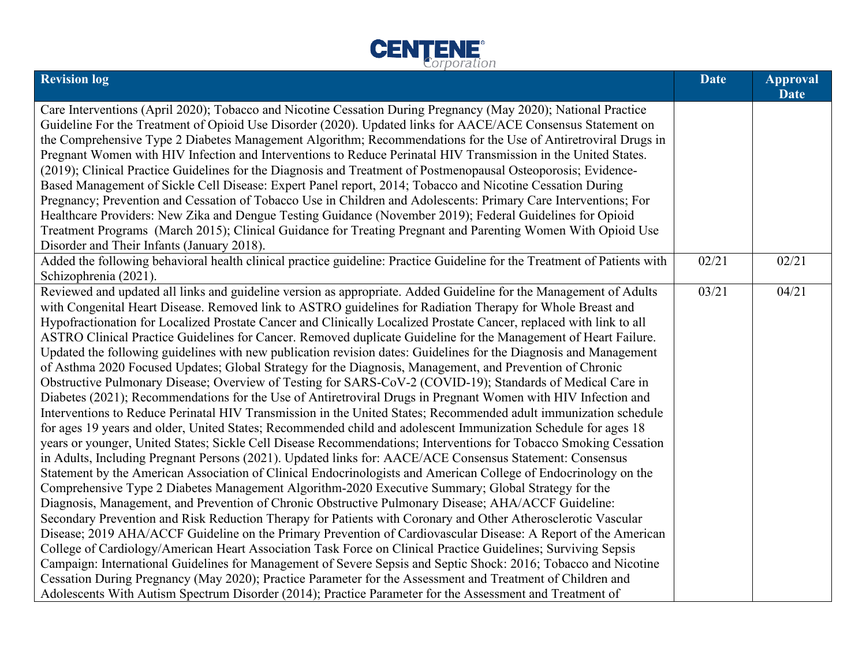

| <b>Revision log</b>                                                                                                      | <b>Date</b> | <b>Approval</b><br><b>Date</b> |
|--------------------------------------------------------------------------------------------------------------------------|-------------|--------------------------------|
| Care Interventions (April 2020); Tobacco and Nicotine Cessation During Pregnancy (May 2020); National Practice           |             |                                |
| Guideline For the Treatment of Opioid Use Disorder (2020). Updated links for AACE/ACE Consensus Statement on             |             |                                |
| the Comprehensive Type 2 Diabetes Management Algorithm; Recommendations for the Use of Antiretroviral Drugs in           |             |                                |
| Pregnant Women with HIV Infection and Interventions to Reduce Perinatal HIV Transmission in the United States.           |             |                                |
| (2019); Clinical Practice Guidelines for the Diagnosis and Treatment of Postmenopausal Osteoporosis; Evidence-           |             |                                |
| Based Management of Sickle Cell Disease: Expert Panel report, 2014; Tobacco and Nicotine Cessation During                |             |                                |
| Pregnancy; Prevention and Cessation of Tobacco Use in Children and Adolescents: Primary Care Interventions; For          |             |                                |
| Healthcare Providers: New Zika and Dengue Testing Guidance (November 2019); Federal Guidelines for Opioid                |             |                                |
| Treatment Programs (March 2015); Clinical Guidance for Treating Pregnant and Parenting Women With Opioid Use             |             |                                |
| Disorder and Their Infants (January 2018).                                                                               |             |                                |
| Added the following behavioral health clinical practice guideline: Practice Guideline for the Treatment of Patients with | 02/21       | 02/21                          |
| Schizophrenia (2021).                                                                                                    |             |                                |
| Reviewed and updated all links and guideline version as appropriate. Added Guideline for the Management of Adults        | 03/21       | 04/21                          |
| with Congenital Heart Disease. Removed link to ASTRO guidelines for Radiation Therapy for Whole Breast and               |             |                                |
| Hypofractionation for Localized Prostate Cancer and Clinically Localized Prostate Cancer, replaced with link to all      |             |                                |
| ASTRO Clinical Practice Guidelines for Cancer. Removed duplicate Guideline for the Management of Heart Failure.          |             |                                |
| Updated the following guidelines with new publication revision dates: Guidelines for the Diagnosis and Management        |             |                                |
| of Asthma 2020 Focused Updates; Global Strategy for the Diagnosis, Management, and Prevention of Chronic                 |             |                                |
| Obstructive Pulmonary Disease; Overview of Testing for SARS-CoV-2 (COVID-19); Standards of Medical Care in               |             |                                |
| Diabetes (2021); Recommendations for the Use of Antiretroviral Drugs in Pregnant Women with HIV Infection and            |             |                                |
| Interventions to Reduce Perinatal HIV Transmission in the United States; Recommended adult immunization schedule         |             |                                |
| for ages 19 years and older, United States; Recommended child and adolescent Immunization Schedule for ages 18           |             |                                |
| years or younger, United States; Sickle Cell Disease Recommendations; Interventions for Tobacco Smoking Cessation        |             |                                |
| in Adults, Including Pregnant Persons (2021). Updated links for: AACE/ACE Consensus Statement: Consensus                 |             |                                |
| Statement by the American Association of Clinical Endocrinologists and American College of Endocrinology on the          |             |                                |
| Comprehensive Type 2 Diabetes Management Algorithm-2020 Executive Summary; Global Strategy for the                       |             |                                |
| Diagnosis, Management, and Prevention of Chronic Obstructive Pulmonary Disease; AHA/ACCF Guideline:                      |             |                                |
| Secondary Prevention and Risk Reduction Therapy for Patients with Coronary and Other Atherosclerotic Vascular            |             |                                |
| Disease; 2019 AHA/ACCF Guideline on the Primary Prevention of Cardiovascular Disease: A Report of the American           |             |                                |
| College of Cardiology/American Heart Association Task Force on Clinical Practice Guidelines; Surviving Sepsis            |             |                                |
| Campaign: International Guidelines for Management of Severe Sepsis and Septic Shock: 2016; Tobacco and Nicotine          |             |                                |
| Cessation During Pregnancy (May 2020); Practice Parameter for the Assessment and Treatment of Children and               |             |                                |
| Adolescents With Autism Spectrum Disorder (2014); Practice Parameter for the Assessment and Treatment of                 |             |                                |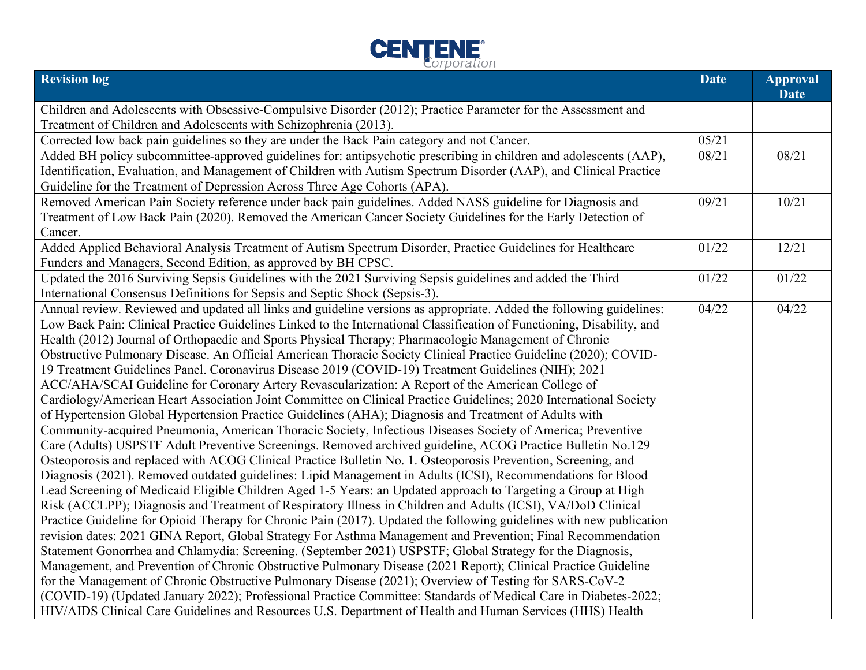

| <b>Revision log</b>                                                                                                    | <b>Date</b> | <b>Approval</b><br><b>Date</b> |
|------------------------------------------------------------------------------------------------------------------------|-------------|--------------------------------|
| Children and Adolescents with Obsessive-Compulsive Disorder (2012); Practice Parameter for the Assessment and          |             |                                |
| Treatment of Children and Adolescents with Schizophrenia (2013).                                                       |             |                                |
| Corrected low back pain guidelines so they are under the Back Pain category and not Cancer.                            | 05/21       |                                |
| Added BH policy subcommittee-approved guidelines for: antipsychotic prescribing in children and adolescents (AAP),     | 08/21       | 08/21                          |
| Identification, Evaluation, and Management of Children with Autism Spectrum Disorder (AAP), and Clinical Practice      |             |                                |
| Guideline for the Treatment of Depression Across Three Age Cohorts (APA).                                              |             |                                |
| Removed American Pain Society reference under back pain guidelines. Added NASS guideline for Diagnosis and             | 09/21       | 10/21                          |
| Treatment of Low Back Pain (2020). Removed the American Cancer Society Guidelines for the Early Detection of           |             |                                |
| Cancer.                                                                                                                |             |                                |
| Added Applied Behavioral Analysis Treatment of Autism Spectrum Disorder, Practice Guidelines for Healthcare            | 01/22       | 12/21                          |
| Funders and Managers, Second Edition, as approved by BH CPSC.                                                          |             |                                |
| Updated the 2016 Surviving Sepsis Guidelines with the 2021 Surviving Sepsis guidelines and added the Third             | 01/22       | 01/22                          |
| International Consensus Definitions for Sepsis and Septic Shock (Sepsis-3).                                            |             |                                |
| Annual review. Reviewed and updated all links and guideline versions as appropriate. Added the following guidelines:   | 04/22       | 04/22                          |
| Low Back Pain: Clinical Practice Guidelines Linked to the International Classification of Functioning, Disability, and |             |                                |
| Health (2012) Journal of Orthopaedic and Sports Physical Therapy; Pharmacologic Management of Chronic                  |             |                                |
| Obstructive Pulmonary Disease. An Official American Thoracic Society Clinical Practice Guideline (2020); COVID-        |             |                                |
| 19 Treatment Guidelines Panel. Coronavirus Disease 2019 (COVID-19) Treatment Guidelines (NIH); 2021                    |             |                                |
| ACC/AHA/SCAI Guideline for Coronary Artery Revascularization: A Report of the American College of                      |             |                                |
| Cardiology/American Heart Association Joint Committee on Clinical Practice Guidelines; 2020 International Society      |             |                                |
| of Hypertension Global Hypertension Practice Guidelines (AHA); Diagnosis and Treatment of Adults with                  |             |                                |
| Community-acquired Pneumonia, American Thoracic Society, Infectious Diseases Society of America; Preventive            |             |                                |
| Care (Adults) USPSTF Adult Preventive Screenings. Removed archived guideline, ACOG Practice Bulletin No.129            |             |                                |
| Osteoporosis and replaced with ACOG Clinical Practice Bulletin No. 1. Osteoporosis Prevention, Screening, and          |             |                                |
| Diagnosis (2021). Removed outdated guidelines: Lipid Management in Adults (ICSI), Recommendations for Blood            |             |                                |
| Lead Screening of Medicaid Eligible Children Aged 1-5 Years: an Updated approach to Targeting a Group at High          |             |                                |
| Risk (ACCLPP); Diagnosis and Treatment of Respiratory Illness in Children and Adults (ICSI), VA/DoD Clinical           |             |                                |
| Practice Guideline for Opioid Therapy for Chronic Pain (2017). Updated the following guidelines with new publication   |             |                                |
| revision dates: 2021 GINA Report, Global Strategy For Asthma Management and Prevention; Final Recommendation           |             |                                |
| Statement Gonorrhea and Chlamydia: Screening. (September 2021) USPSTF; Global Strategy for the Diagnosis,              |             |                                |
| Management, and Prevention of Chronic Obstructive Pulmonary Disease (2021 Report); Clinical Practice Guideline         |             |                                |
| for the Management of Chronic Obstructive Pulmonary Disease (2021); Overview of Testing for SARS-CoV-2                 |             |                                |
| (COVID-19) (Updated January 2022); Professional Practice Committee: Standards of Medical Care in Diabetes-2022;        |             |                                |
| HIV/AIDS Clinical Care Guidelines and Resources U.S. Department of Health and Human Services (HHS) Health              |             |                                |